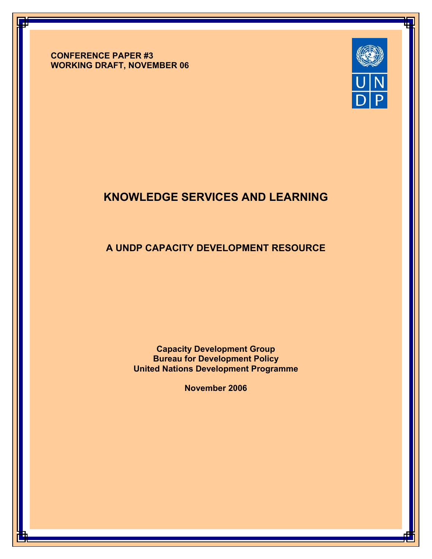**CONFERENCE PAPER #3 WORKING DRAFT, NOVEMBER 06**



# **KNOWLEDGE SERVICES AND LEARNING**

## **A UNDP CAPACITY DEVELOPMENT RESOURCE**

**Capacity Development Group Bureau for Development Policy United Nations Development Programme**

**November 2006**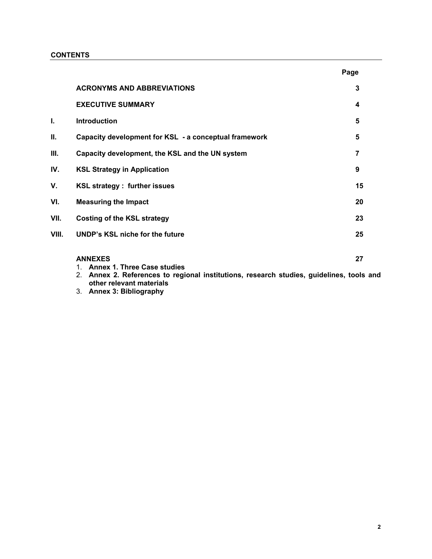## **CONTENTS**

|       |                                                       | Page |
|-------|-------------------------------------------------------|------|
|       | <b>ACRONYMS AND ABBREVIATIONS</b>                     | 3    |
|       | <b>EXECUTIVE SUMMARY</b>                              | 4    |
| Ī.    | <b>Introduction</b>                                   | 5    |
| Ш.    | Capacity development for KSL - a conceptual framework | 5    |
| III.  | Capacity development, the KSL and the UN system       | 7    |
| IV.   | <b>KSL Strategy in Application</b>                    | 9    |
| ۷.    | <b>KSL strategy: further issues</b>                   | 15   |
| VI.   | <b>Measuring the Impact</b>                           | 20   |
| VII.  | <b>Costing of the KSL strategy</b>                    | 23   |
| VIII. | <b>UNDP's KSL niche for the future</b>                | 25   |
|       | <b>ANNEXES</b><br>1. Annex 1. Three Case studies      | 27   |

- 2. **Annex 2. References to regional institutions, research studies, guidelines, tools and other relevant materials**
- 3. **Annex 3: Bibliography**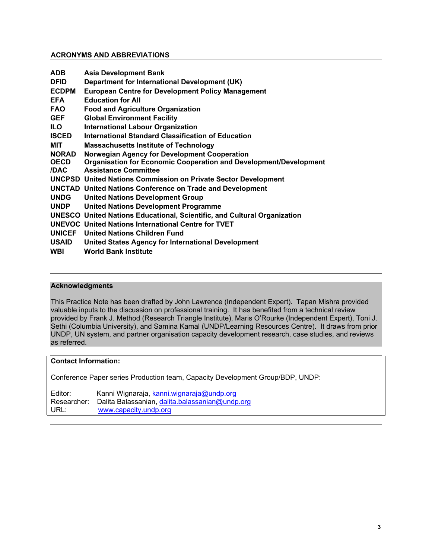## **ACRONYMS AND ABBREVIATIONS**

| <b>ADB</b>    | <b>Asia Development Bank</b>                                                    |
|---------------|---------------------------------------------------------------------------------|
| <b>DFID</b>   | Department for International Development (UK)                                   |
| <b>ECDPM</b>  | <b>European Centre for Development Policy Management</b>                        |
| <b>EFA</b>    | <b>Education for All</b>                                                        |
| <b>FAO</b>    | <b>Food and Agriculture Organization</b>                                        |
| <b>GEF</b>    | <b>Global Environment Facility</b>                                              |
| ILO.          | <b>International Labour Organization</b>                                        |
| <b>ISCED</b>  | <b>International Standard Classification of Education</b>                       |
| <b>MIT</b>    | <b>Massachusetts Institute of Technology</b>                                    |
| <b>NORAD</b>  | Norwegian Agency for Development Cooperation                                    |
| <b>OECD</b>   | <b>Organisation for Economic Cooperation and Development/Development</b>        |
| /DAC          | <b>Assistance Committee</b>                                                     |
|               | <b>UNCPSD United Nations Commission on Private Sector Development</b>           |
|               | <b>UNCTAD United Nations Conference on Trade and Development</b>                |
| <b>UNDG</b>   | <b>United Nations Development Group</b>                                         |
| <b>UNDP</b>   | <b>United Nations Development Programme</b>                                     |
|               | <b>UNESCO</b> United Nations Educational, Scientific, and Cultural Organization |
|               | <b>UNEVOC United Nations International Centre for TVET</b>                      |
| <b>UNICEF</b> | <b>United Nations Children Fund</b>                                             |
| <b>USAID</b>  | <b>United States Agency for International Development</b>                       |
| <b>WBI</b>    | <b>World Bank Institute</b>                                                     |

## **Acknowledgments**

This Practice Note has been drafted by John Lawrence (Independent Expert). Tapan Mishra provided valuable inputs to the discussion on professional training. It has benefited from a technical review provided by Frank J. Method (Research Triangle Institute), Maris O'Rourke (Independent Expert), Toni J. Sethi (Columbia University), and Samina Kamal (UNDP/Learning Resources Centre). It draws from prior UNDP, UN system, and partner organisation capacity development research, case studies, and reviews as referred.

## **Contact Information:**

Conference Paper series Production team, Capacity Development Group/BDP, UNDP:

| Editor:     | Kanni Wignaraja, kanni wignaraja@undp.org       |
|-------------|-------------------------------------------------|
| Researcher: | Dalita Balassanian, dalita balassanian@undp.org |
| URL:        | www.capacity.undp.org                           |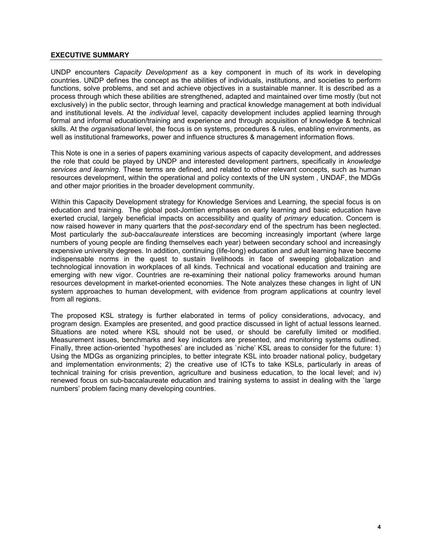## **EXECUTIVE SUMMARY**

UNDP encounters *Capacity Development* as a key component in much of its work in developing countries. UNDP defines the concept as the abilities of individuals, institutions, and societies to perform functions, solve problems, and set and achieve objectives in a sustainable manner. It is described as a process through which these abilities are strengthened, adapted and maintained over time mostly (but not exclusively) in the public sector, through learning and practical knowledge management at both individual and institutional levels. At the *individual* level, capacity development includes applied learning through formal and informal education/training and experience and through acquisition of knowledge & technical skills. At the *organisational* level, the focus is on systems, procedures & rules, enabling environments, as well as institutional frameworks, power and influence structures & management information flows.

This Note is one in a series of papers examining various aspects of capacity development, and addresses the role that could be played by UNDP and interested development partners, specifically in *knowledge services and learning.* These terms are defined*,* and related to other relevant concepts, such as human resources development, within the operational and policy contexts of the UN system , UNDAF, the MDGs and other major priorities in the broader development community.

Within this Capacity Development strategy for Knowledge Services and Learning, the special focus is on education and training. The global post-Jomtien emphases on early learning and basic education have exerted crucial, largely beneficial impacts on accessibility and quality of *primary* education. Concern is now raised however in many quarters that the *post-secondary* end of the spectrum has been neglected. Most particularly the *sub-baccalaureate* interstices are becoming increasingly important (where large numbers of young people are finding themselves each year) between secondary school and increasingly expensive university degrees. In addition, continuing (life-long) education and adult learning have become indispensable norms in the quest to sustain livelihoods in face of sweeping globalization and technological innovation in workplaces of all kinds. Technical and vocational education and training are emerging with new vigor. Countries are re-examining their national policy frameworks around human resources development in market-oriented economies. The Note analyzes these changes in light of UN system approaches to human development, with evidence from program applications at country level from all regions.

The proposed KSL strategy is further elaborated in terms of policy considerations, advocacy, and program design. Examples are presented, and good practice discussed in light of actual lessons learned. Situations are noted where KSL should not be used, or should be carefully limited or modified. Measurement issues, benchmarks and key indicators are presented, and monitoring systems outlined. Finally, three action-oriented `hypotheses' are included as `niche' KSL areas to consider for the future: 1) Using the MDGs as organizing principles, to better integrate KSL into broader national policy, budgetary and implementation environments; 2) the creative use of ICTs to take KSLs, particularly in areas of technical training for crisis prevention, agriculture and business education, to the local level; and iv) renewed focus on sub-baccalaureate education and training systems to assist in dealing with the `large numbers' problem facing many developing countries.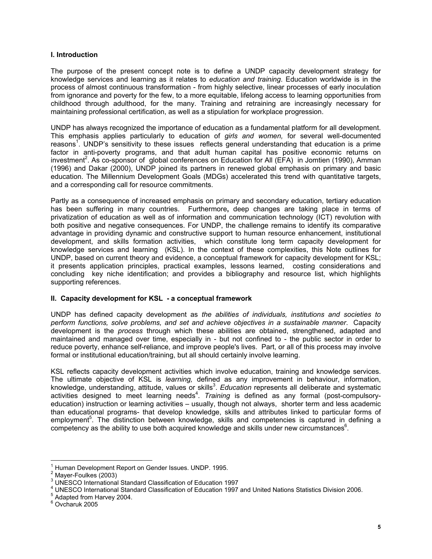#### **I. Introduction**

The purpose of the present concept note is to define a UNDP capacity development strategy for knowledge services and learning as it relates to *education and training*. Education worldwide is in the process of almost continuous transformation - from highly selective, linear processes of early inoculation from ignorance and poverty for the few, to a more equitable, lifelong access to learning opportunities from childhood through adulthood, for the many. Training and retraining are increasingly necessary for maintaining professional certification, as well as a stipulation for workplace progression.

UNDP has always recognized the importance of education as a fundamental platform for all development. This emphasis applies particularly to education of *girls and women,* for several well-documented reasons<sup>1</sup>. UNDP's sensitivity to these issues reflects general understanding that education is a prime factor in anti-poverty programs, and that adult human capital has positive economic returns on investment<sup>2</sup>. As co-sponsor of global conferences on Education for All (EFA) in Jomtien (1990), Amman (1996) and Dakar (2000), UNDP joined its partners in renewed global emphasis on primary and basic education. The Millennium Development Goals (MDGs) accelerated this trend with quantitative targets, and a corresponding call for resource commitments.

Partly as a consequence of increased emphasis on primary and secondary education, tertiary education has been suffering in many countries. Furthermore**,** deep changes are taking place in terms of privatization of education as well as of information and communication technology (ICT) revolution with both positive and negative consequences. For UNDP, the challenge remains to identify its comparative advantage in providing dynamic and constructive support to human resource enhancement, institutional development, and skills formation activities, which constitute long term capacity development for knowledge services and learning (KSL). In the context of these complexities, this Note outlines for UNDP, based on current theory and evidence, a conceptual framework for capacity development for KSL; it presents application principles, practical examples, lessons learned, costing considerations and concluding key niche identification; and provides a bibliography and resource list, which highlights supporting references.

## **II. Capacity development for KSL - a conceptual framework**

UNDP has defined capacity development as *the abilities of individuals, institutions and societies to perform functions, solve problems, and set and achieve objectives in a sustainable manner*. Capacity development is the *process* through which these abilities are obtained, strengthened, adapted and maintained and managed over time, especially in - but not confined to - the public sector in order to reduce poverty, enhance self-reliance, and improve people's lives. Part, or all of this process may involve formal or institutional education/training, but all should certainly involve learning.

KSL reflects capacity development activities which involve education, training and knowledge services. The ultimate objective of KSL is *learning,* defined as any improvement in behaviour, information, knowledge, understanding, attitude, values or skills<sup>3</sup>. *Education* represents all deliberate and systematic activities designed to meet learning needs<sup>4</sup>. Training is defined as any formal (post-compulsoryeducation) instruction or learning activities – usually, though not always, shorter term and less academic than educational programs- that develop knowledge, skills and attributes linked to particular forms of employment<sup>5</sup>. The distinction between knowledge, skills and competencies is captured in defining a competency as the ability to use both acquired knowledge and skills under new circumstances $6$ .

 $\overline{a}$ 1 Human Development Report on Gender Issues. UNDP. 1995.

<sup>2</sup> Mayer-Foulkes (2003)

<sup>3</sup> UNESCO International Standard Classification of Education 1997

<sup>&</sup>lt;sup>4</sup> UNESCO International Standard Classification of Education 1997 and United Nations Statistics Division 2006.<br>5 Adapted from Hangy 2004

<sup>&</sup>lt;sup>5</sup> Adapted from Harvey 2004.

<sup>6</sup> Ovcharuk 2005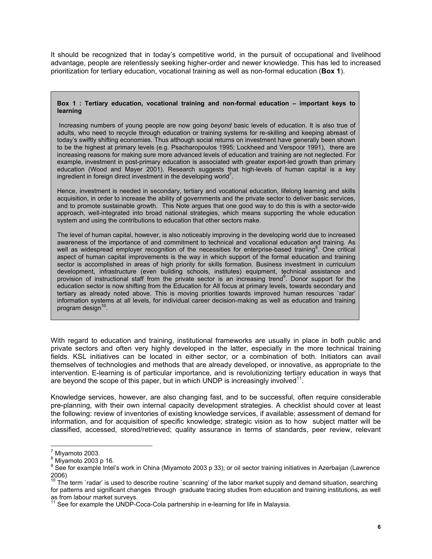It should be recognized that in today's competitive world, in the pursuit of occupational and livelihood advantage, people are relentlessly seeking higher-order and newer knowledge. This has led to increased prioritization for tertiary education, vocational training as well as non-formal education (**Box 1**).

#### **Box 1 : Tertiary education, vocational training and non-formal education – important keys to learning**

 Increasing numbers of young people are now going *beyond* basic levels of education. It is also true of adults, who need to recycle through education or training systems for re-skilling and keeping abreast of today's swiftly shifting economies. Thus although social returns on investment have generally been shown to be the highest at primary levels (e.g. Psacharopoulos 1995; Lockheed and Verspoor 1991), there are increasing reasons for making sure more advanced levels of education and training are not neglected. For example, investment in post-primary education is associated with greater export-led growth than primary education (Wood and Mayer 2001). Research suggests that high-levels of human capital is a key ingredient in foreign direct investment in the developing world<sup>7</sup>.

Hence, investment is needed in secondary, tertiary and vocational education, lifelong learning and skills acquisition, in order to increase the ability of governments and the private sector to deliver basic services, and to promote sustainable growth. This Note argues that one good way to do this is with a sector-wide approach, well-integrated into broad national strategies, which means supporting the whole education system and using the contributions to education that other sectors make.

The level of human capital, however, is also noticeably improving in the developing world due to increased awareness of the importance of and commitment to technical and vocational education and training. As well as widespread employer recognition of the necessities for enterprise-based training<sup>8</sup>. One critical aspect of human capital improvements is the way in which support of the formal education and training sector is accomplished in areas of high priority for skills formation. Business investment in curriculum development, infrastructure (even building schools, institutes) equipment, technical assistance and provision of instructional staff from the private sector is an increasing trend<sup>9</sup>. Donor support for the education sector is now shifting from the Education for All focus at primary levels, towards secondary and tertiary as already noted above. This is moving priorities towards improved human resources `radar' information systems at all levels, for individual career decision-making as well as education and training program design $10$ .

With regard to education and training, institutional frameworks are usually in place in both public and private sectors and often very highly developed in the latter, especially in the more technical training fields. KSL initiatives can be located in either sector, or a combination of both. Initiators can avail themselves of technologies and methods that are already developed, or innovative, as appropriate to the intervention. E-learning is of particular importance, and is revolutionizing tertiary education in ways that are beyond the scope of this paper, but in which UNDP is increasingly involved $11$ .

Knowledge services, however, are also changing fast, and to be successful, often require considerable pre-planning, with their own internal capacity development strategies. A checklist should cover at least the following: review of inventories of existing knowledge services, if available; assessment of demand for information, and for acquisition of specific knowledge; strategic vision as to how subject matter will be classified, accessed, stored/retrieved; quality assurance in terms of standards, peer review, relevant

 $\overline{a}$ 

 $\frac{7}{1}$  Miyamoto 2003.

 $8$  Miyamoto 2003 p 16.

<sup>&</sup>lt;sup>9</sup> See for example Intel's work in China (Miyamoto 2003 p 33); or oil sector training initiatives in Azerbaijan (Lawrence 2006)

 $10$  The term `radar' is used to describe routine `scanning' of the labor market supply and demand situation, searching for patterns and significant changes through graduate tracing studies from education and training institutions, as well as from labour market surveys.

See for example the UNDP-Coca-Cola partnership in e-learning for life in Malaysia.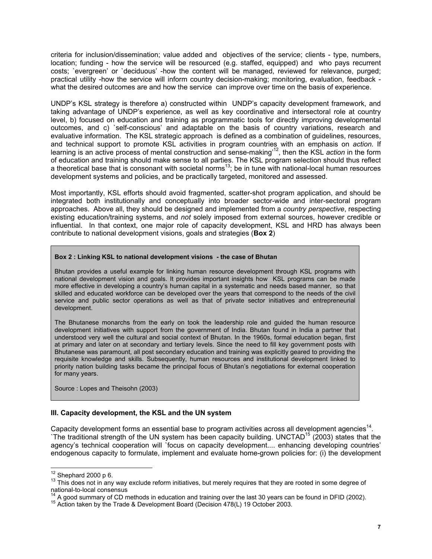criteria for inclusion/dissemination; value added and objectives of the service; clients - type, numbers, location; funding - how the service will be resourced (e.g. staffed, equipped) and who pays recurrent costs; `evergreen' or `deciduous' -how the content will be managed, reviewed for relevance, purged; practical utility -how the service will inform country decision-making; monitoring, evaluation, feedback what the desired outcomes are and how the service can improve over time on the basis of experience.

UNDP's KSL strategy is therefore a) constructed within UNDP's capacity development framework, and taking advantage of UNDP's experience, as well as key coordinative and intersectoral role at country level, b) focused on education and training as programmatic tools for directly improving developmental outcomes, and c) `self-conscious' and adaptable on the basis of country variations, research and evaluative information. The KSL strategic approach is defined as a combination of guidelines, resources, and technical support to promote KSL activities in program countries with an emphasis on *action.* If learning is an active process of mental construction and sense-making'12, then the KSL *action* in the form of education and training should make sense to all parties. The KSL program selection should thus reflect a theoretical base that is consonant with societal norms13; be in tune with national-local human resources development systems and policies, and be practically targeted, monitored and assessed.

Most importantly, KSL efforts should avoid fragmented, scatter-shot program application, and should be integrated both institutionally and conceptually into broader sector-wide and inter-sectoral program approaches. Above all, they should be designed and implemented from a *country perspective*, respecting existing education/training systems, and *not* solely imposed from external sources, however credible or influential. In that context, one major role of capacity development, KSL and HRD has always been contribute to national development visions, goals and strategies (**Box 2**)

#### **Box 2 : Linking KSL to national development visions - the case of Bhutan**

Bhutan provides a useful example for linking human resource development through KSL programs with national development vision and goals. It provides important insights how KSL programs can be made more effective in developing a country's human capital in a systematic and needs based manner, so that skilled and educated workforce can be developed over the years that correspond to the needs of the civil service and public sector operations as well as that of private sector initiatives and entrepreneurial development.

The Bhutanese monarchs from the early on took the leadership role and guided the human resource development initiatives with support from the government of India. Bhutan found in India a partner that understood very well the cultural and social context of Bhutan. In the 1960s, formal education began, first at primary and later on at secondary and tertiary levels. Since the need to fill key government posts with Bhutanese was paramount, all post secondary education and training was explicitly geared to providing the requisite knowledge and skills. Subsequently, human resources and institutional development linked to priority nation building tasks became the principal focus of Bhutan's negotiations for external cooperation for many years.

Source : Lopes and Theisohn (2003)

## **III. Capacity development, the KSL and the UN system**

Capacity development forms an essential base to program activities across all development agencies<sup>14</sup>. The traditional strength of the UN system has been capacity building. UNCTAD<sup>15</sup> (2003) states that the agency's technical cooperation will `focus on capacity development.... enhancing developing countries' endogenous capacity to formulate, implement and evaluate home-grown policies for: (i) the development

 $12$  Shephard 2000 p 6.

 $13$  This does not in any way exclude reform initiatives, but merely requires that they are rooted in some degree of national-to-local consensus

<sup>&</sup>lt;sup>14</sup> A good summary of CD methods in education and training over the last 30 years can be found in DFID (2002).<br><sup>15</sup> Action taken by the Trade & Development Board (Decision 478(L) 19 October 2003.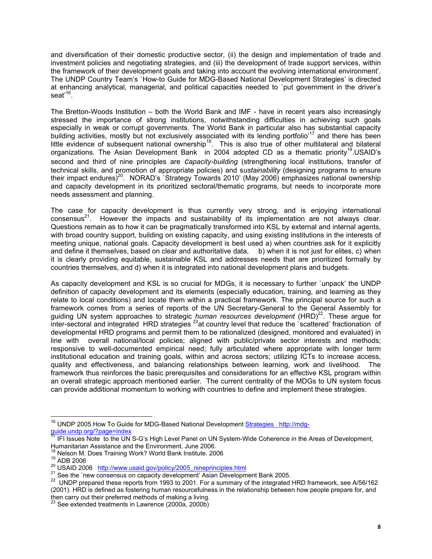and diversification of their domestic productive sector, (ii) the design and implementation of trade and investment policies and negotiating strategies, and (iii) the development of trade support services, within the framework of their development goals and taking into account the evolving international environment'. The UNDP Country Team's `How-to Guide for MDG-Based National Development Strategies' is directed at enhancing analytical, managerial, and political capacities needed to `put government in the driver's seat $16$ .

The Bretton-Woods Institution – both the World Bank and IMF - have in recent years also increasingly stressed the importance of strong institutions, notwithstanding difficulties in achieving such goals especially in weak or corrupt governments. The World Bank in particular also has substantial capacity building activities, mostly but not exclusively associated with its lending portfolio<sup>17</sup> and there has been little evidence of subsequent national ownership<sup>18</sup>. This is also true of other multilateral and bilateral organizations. The Asian Development Bank in 2004 adopted CD as a thematic priority<sup>19</sup>.USAID's second and third of nine principles are *capacity-building* (strengthening local institutions, transfer of technical skills, and promotion of appropriate policies) and s*ustainability* (designing programs to ensure their impact endures)<sup>20</sup>. NORAD's `Strategy Towards 2010' (May 2006) emphasizes national ownership and capacity development in its prioritized sectoral/thematic programs, but needs to incorporate more needs assessment and planning.

The case for capacity development is thus currently very strong, and is enjoying international  $consensus<sup>21</sup>$ . However the impacts and sustainability of its implementation are not always clear. Questions remain as to how it can be pragmatically transformed into KSL by external and internal agents, with broad country support, building on existing capacity, and using existing institutions in the interests of meeting unique, national goals. Capacity development is best used a) when countries ask for it explicitly and define it themselves, based on clear and authoritative data, b) when it is not just for elites, c) when it is clearly providing equitable, sustainable KSL and addresses needs that are prioritized formally by countries themselves, and d) when it is integrated into national development plans and budgets.

As capacity development and KSL is so crucial for MDGs, it is necessary to further `unpack' the UNDP definition of capacity development and its elements (especially education, training, and learning as they relate to local conditions) and locate them within a practical framework. The principal source for such a framework comes from a series of reports of the UN Secretary-General to the General Assembly for guiding UN system approaches to strategic *human resources development* (HRD)<sup>22</sup>. These argue for inter-sectoral and integrated HRD strategies <sup>23</sup>at country level that reduce the `scattered' fractionation of developmental HRD programs and permit them to be rationalized (designed, monitored and evaluated) in line with overall national/local policies; aligned with public/private sector interests and methods; responsive to well-documented empirical need; fully articulated where appropriate with longer term institutional education and training goals, within and across sectors; utilizing ICTs to increase access, quality and effectiveness, and balancing relationships between learning, work and livelihood. The framework thus reinforces the basic prerequisites and considerations for an effective KSL program within an overall strategic approach mentioned earlier. The current centrality of the MDGs to UN system focus can provide additional momentum to working with countries to define and implement these strategies.

 $\overline{a}$ 

<sup>&</sup>lt;sup>16</sup> UNDP 2005 How To Guide for MDG-Based National Development **Strategies** http://mdgguide.undp.org/?page=index

<sup>17</sup> IFI Issues Note to the UN S-G's High Level Panel on UN System-Wide Coherence in the Areas of Development, Humanitarian Assistance and the Environment. June 2006.<br><sup>18</sup> Nelson M. Does Training Work? World Bank Institute. 2006

<sup>&</sup>lt;sup>19</sup> ADB 2006<br><sup>20</sup> USAID 2006 http://www.usaid.gov/policy/2005\_nineprinciples.html<br><sup>21</sup> See the `new consensus on capacity development' Asian Development Bank 2005.<br><sup>22</sup> UNDP prepared these reports from 1993 to 2001. For a (2001). HRD is defined as fostering human resourcefulness in the relationship between how people prepare for, and then carry out their preferred methods of making a living.

See extended treatments in Lawrence (2000a, 2000b)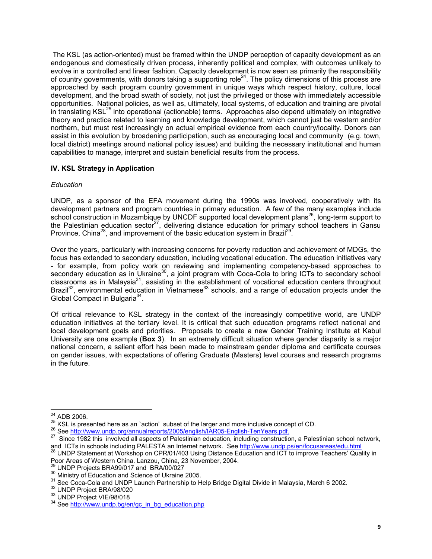The KSL (as action-oriented) must be framed within the UNDP perception of capacity development as an endogenous and domestically driven process, inherently political and complex, with outcomes unlikely to evolve in a controlled and linear fashion. Capacity development is now seen as primarily the responsibility of country governments, with donors taking a supporting role<sup>24</sup>. The policy dimensions of this process are approached by each program country government in unique ways which respect history, culture, local development, and the broad swath of society, not just the privileged or those with immediately accessible opportunities. National policies, as well as, ultimately, local systems, of education and training are pivotal in translating KSL<sup>25</sup> into operational (actionable) terms. Approaches also depend ultimately on integrative theory and practice related to learning and knowledge development, which cannot just be western and/or northern, but must rest increasingly on actual empirical evidence from each country/locality. Donors can assist in this evolution by broadening participation, such as encouraging local and community (e.g. town, local district) meetings around national policy issues) and building the necessary institutional and human capabilities to manage, interpret and sustain beneficial results from the process.

## **IV. KSL Strategy in Application**

## *Education*

UNDP, as a sponsor of the EFA movement during the 1990s was involved, cooperatively with its development partners and program countries in primary education. A few of the many examples include school construction in Mozambique by UNCDF supported local development plans<sup>26</sup>, long-term support to the Palestinian education sector<sup>27</sup>, delivering distance education for primary school teachers in Gansu Province, China<sup>28</sup>, and improvement of the basic education system in Brazil<sup>29</sup>.

Over the years, particularly with increasing concerns for poverty reduction and achievement of MDGs, the focus has extended to secondary education, including vocational education. The education initiatives vary - for example, from policy work on reviewing and implementing competency-based approaches to secondary education as in Ukraine<sup>30</sup>, a joint program with Coca-Cola to bring ICTs to secondary school classrooms as in Malaysia<sup>31</sup>, assisting in the establishment of vocational education centers throughout Brazil<sup>32</sup>, environmental education in Vietnamese<sup>33</sup> schools, and a range of education projects under the Global Compact in Bulgaria<sup>34</sup>.

Of critical relevance to KSL strategy in the context of the increasingly competitive world, are UNDP education initiatives at the tertiary level. It is critical that such education programs reflect national and local development goals and priorities. Proposals to create a new Gender Training Institute at Kabul University are one example (**Box 3**). In an extremely difficult situation where gender disparity is a major national concern, a salient effort has been made to mainstream gender diploma and certificate courses on gender issues, with expectations of offering Graduate (Masters) level courses and research programs in the future.

<sup>&</sup>lt;sup>24</sup> ADB 2006.

<sup>&</sup>lt;sup>25</sup> KSL is presented here as an `action' subset of the larger and more inclusive concept of CD.<br><sup>26</sup> See http://www.undp.org/annualreports/2005/english/IAR05-English-TenYears.pdf.<br><sup>27</sup> Since 1982 this involved all aspects

and ICTs in schools including PALESTA an Internet network. See http://www.undp.ps/en/focusareas/edu.html 28 UNDP Statement at Workshop on CPR/01/403 Using Distance Education and ICT to improve Teachers' Quality in Poor Are

<sup>&</sup>lt;sup>29</sup> UNDP Projects BRA99/017 and BRA/00/027<br><sup>30</sup> Ministry of Education and Science of Ukraine 2005.<br><sup>31</sup> See Coca-Cola and UNDP Launch Partnership to Help Bridge Digital Divide in Malaysia, March 6 2002.<br><sup>32</sup> UNDP Project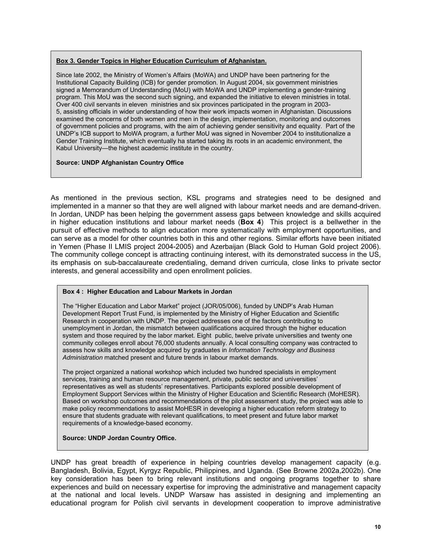#### **Box 3. Gender Topics in Higher Education Curriculum of Afghanistan.**

Since late 2002, the Ministry of Women's Affairs (MoWA) and UNDP have been partnering for the Institutional Capacity Building (ICB) for gender promotion. In August 2004, six government ministries signed a Memorandum of Understanding (MoU) with MoWA and UNDP implementing a gender-training program. This MoU was the second such signing, and expanded the initiative to eleven ministries in total. Over 400 civil servants in eleven ministries and six provinces participated in the program in 2003- 5, assisting officials in wider understanding of how their work impacts women in Afghanistan. Discussions examined the concerns of both women and men in the design, implementation, monitoring and outcomes of government policies and programs, with the aim of achieving gender sensitivity and equality. Part of the UNDP's ICB support to MoWA program, a further MoU was signed in November 2004 to institutionalize a Gender Training Institute, which eventually ha started taking its roots in an academic environment, the Kabul University—the highest academic institute in the country.

#### **Source: UNDP Afghanistan Country Office**

As mentioned in the previous section, KSL programs and strategies need to be designed and implemented in a manner so that they are well aligned with labour market needs and are demand-driven. In Jordan, UNDP has been helping the government assess gaps between knowledge and skills acquired in higher education institutions and labour market needs (**Box 4**) This project is a bellwether in the pursuit of effective methods to align education more systematically with employment opportunities, and can serve as a model for other countries both in this and other regions. Similar efforts have been initiated in Yemen (Phase II LMIS project 2004-2005) and Azerbaijan (Black Gold to Human Gold project 2006). The community college concept is attracting continuing interest, with its demonstrated success in the US, its emphasis on sub-baccalaureate credentialing, demand driven curricula, close links to private sector interests, and general accessibility and open enrollment policies.

#### **Box 4 : Higher Education and Labour Markets in Jordan**

The "Higher Education and Labor Market" project (JOR/05/006), funded by UNDP's Arab Human Development Report Trust Fund, is implemented by the Ministry of Higher Education and Scientific Research in cooperation with UNDP. The project addresses one of the factors contributing to unemployment in Jordan, the mismatch between qualifications acquired through the higher education system and those required by the labor market. Eight public, twelve private universities and twenty one community colleges enroll about 76,000 students annually. A local consulting company was contracted to assess how skills and knowledge acquired by graduates in *Information Technology and Business Administration* matched present and future trends in labour market demands.

The project organized a national workshop which included two hundred specialists in employment services, training and human resource management, private, public sector and universities' representatives as well as students' representatives. Participants explored possible development of Employment Support Services within the Ministry of Higher Education and Scientific Research (MoHESR). Based on workshop outcomes and recommendations of the pilot assessment study, the project was able to make policy recommendations to assist MoHESR in developing a higher education reform strategy to ensure that students graduate with relevant qualifications, to meet present and future labor market requirements of a knowledge-based economy.

#### **Source: UNDP Jordan Country Office.**

UNDP has great breadth of experience in helping countries develop management capacity (e.g. Bangladesh, Bolivia, Egypt, Kyrgyz Republic, Philippines, and Uganda. (See Browne 2002a,2002b). One key consideration has been to bring relevant institutions and ongoing programs together to share experiences and build on necessary expertise for improving the administrative and management capacity at the national and local levels. UNDP Warsaw has assisted in designing and implementing an educational program for Polish civil servants in development cooperation to improve administrative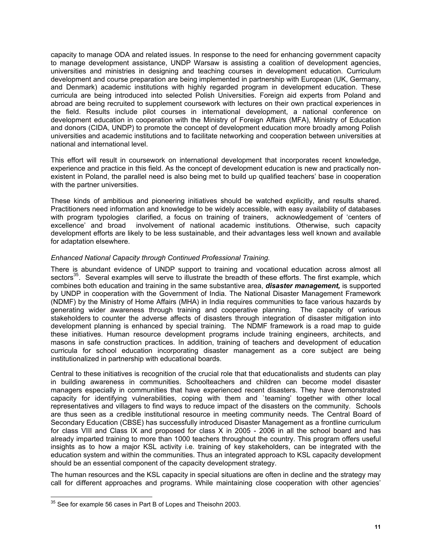capacity to manage ODA and related issues. In response to the need for enhancing government capacity to manage development assistance, UNDP Warsaw is assisting a coalition of development agencies, universities and ministries in designing and teaching courses in development education. Curriculum development and course preparation are being implemented in partnership with European (UK, Germany, and Denmark) academic institutions with highly regarded program in development education. These curricula are being introduced into selected Polish Universities. Foreign aid experts from Poland and abroad are being recruited to supplement coursework with lectures on their own practical experiences in the field. Results include pilot courses in international development, a national conference on development education in cooperation with the Ministry of Foreign Affairs (MFA), Ministry of Education and donors (CIDA, UNDP) to promote the concept of development education more broadly among Polish universities and academic institutions and to facilitate networking and cooperation between universities at national and international level.

This effort will result in coursework on international development that incorporates recent knowledge, experience and practice in this field. As the concept of development education is new and practically nonexistent in Poland, the parallel need is also being met to build up qualified teachers' base in cooperation with the partner universities.

These kinds of ambitious and pioneering initiatives should be watched explicitly, and results shared. Practitioners need information and knowledge to be widely accessible, with easy availability of databases with program typologies clarified, a focus on training of trainers, acknowledgement of 'centers of excellence' and broad involvement of national academic institutions. Otherwise, such capacity development efforts are likely to be less sustainable, and their advantages less well known and available for adaptation elsewhere.

## *Enhanced National Capacity through Continued Professional Training.*

There is abundant evidence of UNDP support to training and vocational education across almost all sectors<sup>35</sup>. Several examples will serve to illustrate the breadth of these efforts. The first example, which combines both education and training in the same substantive area, *disaster management,* is supported by UNDP in cooperation with the Government of India. The National Disaster Management Framework (NDMF) by the Ministry of Home Affairs (MHA) in India requires communities to face various hazards by generating wider awareness through training and cooperative planning. The capacity of various generating wider awareness through training and cooperative planning. stakeholders to counter the adverse affects of disasters through integration of disaster mitigation into development planning is enhanced by special training. The NDMF framework is a road map to guide these initiatives. Human resource development programs include training engineers, architects, and masons in safe construction practices. In addition, training of teachers and development of education curricula for school education incorporating disaster management as a core subject are being institutionalized in partnership with educational boards.

Central to these initiatives is recognition of the crucial role that that educationalists and students can play in building awareness in communities. Schoolteachers and children can become model disaster managers especially in communities that have experienced recent disasters. They have demonstrated capacity for identifying vulnerabilities, coping with them and `teaming' together with other local representatives and villagers to find ways to reduce impact of the disasters on the community. Schools are thus seen as a credible institutional resource in meeting community needs. The Central Board of Secondary Education (CBSE) has successfully introduced Disaster Management as a frontline curriculum for class VIII and Class IX and proposed for class X in 2005 - 2006 in all the school board and has already imparted training to more than 1000 teachers throughout the country. This program offers useful insights as to how a major KSL activity i.e. training of key stakeholders, can be integrated with the education system and within the communities. Thus an integrated approach to KSL capacity development should be an essential component of the capacity development strategy.

The human resources and the KSL capacity in special situations are often in decline and the strategy may call for different approaches and programs. While maintaining close cooperation with other agencies'

 $\overline{a}$  $35$  See for example 56 cases in Part B of Lopes and Theisohn 2003.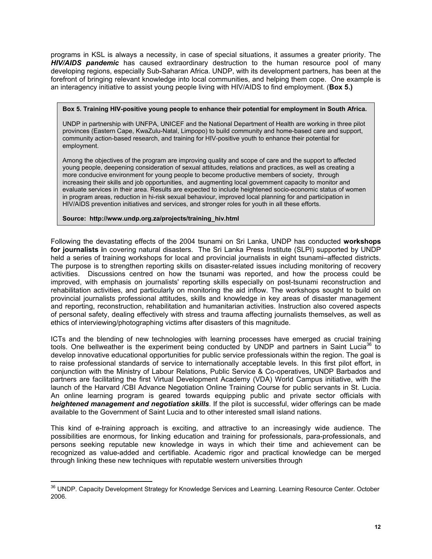programs in KSL is always a necessity, in case of special situations, it assumes a greater priority. The *HIV/AIDS pandemic* has caused extraordinary destruction to the human resource pool of many developing regions, especially Sub-Saharan Africa. UNDP, with its development partners, has been at the forefront of bringing relevant knowledge into local communities, and helping them cope. One example is an interagency initiative to assist young people living with HIV/AIDS to find employment. (**Box 5.)**

#### **Box 5. Training HIV-positive young people to enhance their potential for employment in South Africa.**

UNDP in partnership with UNFPA, UNICEF and the National Department of Health are working in three pilot provinces (Eastern Cape, KwaZulu-Natal, Limpopo) to build community and home-based care and support, community action-based research, and training for HIV-positive youth to enhance their potential for employment.

Among the objectives of the program are improving quality and scope of care and the support to affected young people, deepening consideration of sexual attitudes, relations and practices, as well as creating a more conducive environment for young people to become productive members of society, through increasing their skills and job opportunities, and augmenting local government capacity to monitor and evaluate services in their area. Results are expected to include heightened socio-economic status of women in program areas, reduction in hi-risk sexual behaviour, improved local planning for and participation in HIV/AIDS prevention initiatives and services, and stronger roles for youth in all these efforts.

#### **Source: http://www.undp.org.za/projects/training\_hiv.html**

Following the devastating effects of the 2004 tsunami on Sri Lanka, UNDP has conducted **workshops for journalists i**n covering natural disasters. The Sri Lanka Press Institute (SLPI) supported by UNDP held a series of training workshops for local and provincial journalists in eight tsunami–affected districts. The purpose is to strengthen reporting skills on disaster-related issues including monitoring of recovery activities. Discussions centred on how the tsunami was reported, and how the process could be improved, with emphasis on journalists' reporting skills especially on post-tsunami reconstruction and rehabilitation activities, and particularly on monitoring the aid inflow. The workshops sought to build on provincial journalists professional attitudes, skills and knowledge in key areas of disaster management and reporting, reconstruction, rehabilitation and humanitarian activities. Instruction also covered aspects of personal safety, dealing effectively with stress and trauma affecting journalists themselves, as well as ethics of interviewing/photographing victims after disasters of this magnitude.

ICTs and the blending of new technologies with learning processes have emerged as crucial training tools. One bellweather is the experiment being conducted by UNDP and partners in Saint Lucia<sup>36</sup> to develop innovative educational opportunities for public service professionals within the region. The goal is to raise professional standards of service to internationally acceptable levels. In this first pilot effort, in conjunction with the Ministry of Labour Relations, Public Service & Co-operatives, UNDP Barbados and partners are facilitating the first Virtual Development Academy (VDA) World Campus initiative, with the launch of the Harvard /CBI Advance Negotiation Online Training Course for public servants in St. Lucia. An online learning program is geared towards equipping public and private sector officials with *heightened management and negotiation skills*. If the pilot is successful, wider offerings can be made available to the Government of Saint Lucia and to other interested small island nations.

This kind of e-training approach is exciting, and attractive to an increasingly wide audience. The possibilities are enormous, for linking education and training for professionals, para-professionals, and persons seeking reputable new knowledge in ways in which their time and achievement can be recognized as value-added and certifiable. Academic rigor and practical knowledge can be merged through linking these new techniques with reputable western universities through

 $\overline{a}$ <sup>36</sup> UNDP. Capacity Development Strategy for Knowledge Services and Learning. Learning Resource Center. October 2006.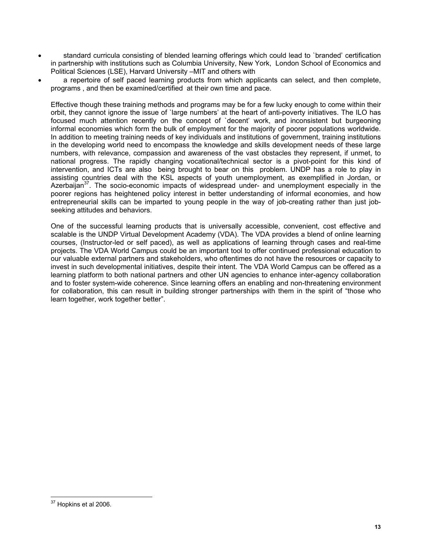- standard curricula consisting of blended learning offerings which could lead to `branded' certification in partnership with institutions such as Columbia University, New York, London School of Economics and Political Sciences (LSE), Harvard University –MIT and others with
- a repertoire of self paced learning products from which applicants can select, and then complete, programs , and then be examined/certified at their own time and pace.

Effective though these training methods and programs may be for a few lucky enough to come within their orbit, they cannot ignore the issue of `large numbers' at the heart of anti-poverty initiatives. The ILO has focused much attention recently on the concept of `decent' work, and inconsistent but burgeoning informal economies which form the bulk of employment for the majority of poorer populations worldwide. In addition to meeting training needs of key individuals and institutions of government, training institutions in the developing world need to encompass the knowledge and skills development needs of these large numbers, with relevance, compassion and awareness of the vast obstacles they represent, if unmet, to national progress. The rapidly changing vocational/technical sector is a pivot-point for this kind of intervention, and ICTs are also being brought to bear on this problem. UNDP has a role to play in assisting countries deal with the KSL aspects of youth unemployment, as exemplified in Jordan, or Azerbaijan<sup>37</sup>. The socio-economic impacts of widespread under- and unemployment especially in the poorer regions has heightened policy interest in better understanding of informal economies, and how entrepreneurial skills can be imparted to young people in the way of job-creating rather than just jobseeking attitudes and behaviors.

One of the successful learning products that is universally accessible, convenient, cost effective and scalable is the UNDP Virtual Development Academy (VDA). The VDA provides a blend of online learning courses, (Instructor-led or self paced), as well as applications of learning through cases and real-time projects. The VDA World Campus could be an important tool to offer continued professional education to our valuable external partners and stakeholders, who oftentimes do not have the resources or capacity to invest in such developmental initiatives, despite their intent. The VDA World Campus can be offered as a learning platform to both national partners and other UN agencies to enhance inter-agency collaboration and to foster system-wide coherence. Since learning offers an enabling and non-threatening environment for collaboration, this can result in building stronger partnerships with them in the spirit of "those who learn together, work together better".

 $\overline{a}$  $37$  Hopkins et al 2006.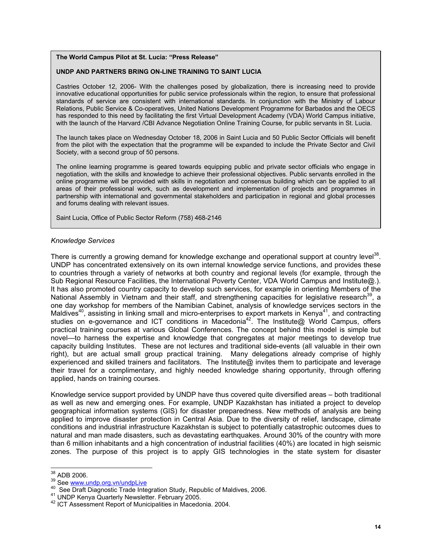#### **The World Campus Pilot at St. Lucia: "Press Release"**

#### **UNDP AND PARTNERS BRING ON-LINE TRAINING TO SAINT LUCIA**

Castries October 12, 2006- With the challenges posed by globalization, there is increasing need to provide innovative educational opportunities for public service professionals within the region, to ensure that professional standards of service are consistent with international standards. In conjunction with the Ministry of Labour Relations, Public Service & Co-operatives, United Nations Development Programme for Barbados and the OECS has responded to this need by facilitating the first Virtual Development Academy (VDA) World Campus initiative, with the launch of the Harvard /CBI Advance Negotiation Online Training Course, for public servants in St. Lucia.

The launch takes place on Wednesday October 18, 2006 in Saint Lucia and 50 Public Sector Officials will benefit from the pilot with the expectation that the programme will be expanded to include the Private Sector and Civil Society, with a second group of 50 persons.

The online learning programme is geared towards equipping public and private sector officials who engage in negotiation, with the skills and knowledge to achieve their professional objectives. Public servants enrolled in the online programme will be provided with skills in negotiation and consensus building which can be applied to all areas of their professional work, such as development and implementation of projects and programmes in partnership with international and governmental stakeholders and participation in regional and global processes and forums dealing with relevant issues.

Saint Lucia, Office of Public Sector Reform (758) 468-2146

#### *Knowledge Services*

There is currently a growing demand for knowledge exchange and operational support at country level<sup>38</sup>. UNDP has concentrated extensively on its own internal knowledge service functions, and provides these to countries through a variety of networks at both country and regional levels (for example, through the Sub Regional Resource Facilities, the International Poverty Center, VDA World Campus and Institute@.). It has also promoted country capacity to develop such services, for example in orienting Members of the National Assembly in Vietnam and their staff, and strengthening capacities for legislative research<sup>39</sup>, a one day workshop for members of the Namibian Cabinet, analysis of knowledge services sectors in the Maldives<sup>40</sup>, assisting in linking small and micro-enterprises to export markets in Kenya<sup>41</sup>, and contracting studies on e-governance and ICT conditions in Macedonia<sup>42</sup>. The Institute@ World Campus, offers practical training courses at various Global Conferences. The concept behind this model is simple but novel—to harness the expertise and knowledge that congregates at major meetings to develop true capacity building Institutes. These are not lectures and traditional side-events (all valuable in their own right), but are actual small group practical training. Many delegations already comprise of highly experienced and skilled trainers and facilitators. The Institute@ invites them to participate and leverage their travel for a complimentary, and highly needed knowledge sharing opportunity, through offering applied, hands on training courses.

Knowledge service support provided by UNDP have thus covered quite diversified areas – both traditional as well as new and emerging ones. For example, UNDP Kazakhstan has initiated a project to develop geographical information systems (GIS) for disaster preparedness. New methods of analysis are being applied to improve disaster protection in Central Asia. Due to the diversity of relief, landscape, climate conditions and industrial infrastructure Kazakhstan is subject to potentially catastrophic outcomes dues to natural and man made disasters, such as devastating earthquakes. Around 30% of the country with more than 6 million inhabitants and a high concentration of industrial facilities (40%) are located in high seismic zones. The purpose of this project is to apply GIS technologies in the state system for disaster

<sup>&</sup>lt;sup>38</sup> ADB 2006.

<sup>&</sup>lt;sup>39</sup> See <u>www.undp.org.vn/undpLive</u><br>
<sup>40</sup> See Draft Diagnostic Trade Integration Study, Republic of Maldives, 2006.<br>
<sup>41</sup> UNDP Kenya Quarterly Newsletter. February 2005.<br>
<sup>42</sup> ICT Assessment Report of Municipalities in Mac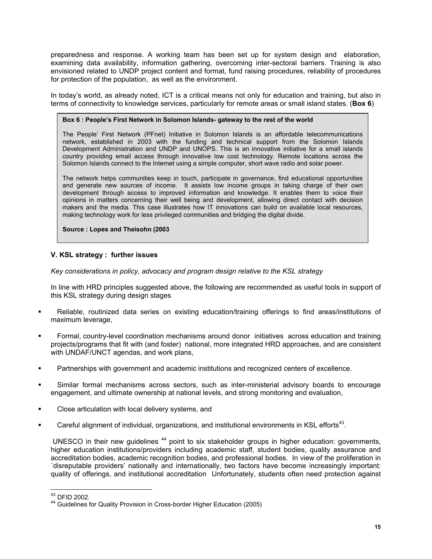preparedness and response. A working team has been set up for system design and elaboration, examining data availability, information gathering, overcoming inter-sectoral barriers. Training is also envisioned related to UNDP project content and format, fund raising procedures, reliability of procedures for protection of the population, as well as the environment.

In today's world, as already noted, ICT is a critical means not only for education and training, but also in terms of connectivity to knowledge services, particularly for remote areas or small island states. (**Box 6**)

#### **Box 6 : People's First Network in Solomon Islands- gateway to the rest of the world**

The People' First Network (PFnet) Initiative in Solomon Islands is an affordable telecommunications network, established in 2003 with the funding and technical support from the Solomon Islands Development Administration and UNDP and UNOPS. This is an innovative initiative for a small islands country providing email access through innovative low cost technology. Remote locations across the Solomon Islands connect to the Internet using a simple computer, short wave radio and solar power.

The network helps communities keep in touch, participate in governance, find educational opportunities and generate new sources of income. It assists low income groups in taking charge of their own development through access to improved information and knowledge. It enables them to voice their opinions in matters concerning their well being and development, allowing direct contact with decision makers and the media. This case illustrates how IT innovations can build on available local resources, making technology work for less privileged communities and bridging the digital divide.

**Source : Lopes and Theisohn (2003**

## **V. KSL strategy : further issues**

*Key considerations in policy, advocacy and program design relative to the KSL strategy*

In line with HRD principles suggested above, the following are recommended as useful tools in support of this KSL strategy during design stages

- Reliable, routinized data series on existing education/training offerings to find areas/institutions of maximum leverage,
- Formal, country-level coordination mechanisms around donor initiatives across education and training projects/programs that fit with (and foster) national, more integrated HRD approaches, and are consistent with UNDAF/UNCT agendas, and work plans,
- Partnerships with government and academic institutions and recognized centers of excellence.
- Similar formal mechanisms across sectors, such as inter-ministerial advisory boards to encourage engagement, and ultimate ownership at national levels, and strong monitoring and evaluation,
- Close articulation with local delivery systems, and
- Careful alignment of individual, organizations, and institutional environments in KSL efforts<sup>43</sup>.

UNESCO in their new guidelines <sup>44</sup> point to six stakeholder groups in higher education: governments, higher education institutions/providers including academic staff, student bodies, quality assurance and accreditation bodies, academic recognition bodies, and professional bodies. In view of the proliferation in `disreputable providers' nationally and internationally, two factors have become increasingly important: quality of offerings, and institutional accreditation Unfortunately, students often need protection against

<sup>&</sup>lt;sup>43</sup> DFID 2002.

<sup>&</sup>lt;sup>44</sup> Guidelines for Quality Provision in Cross-border Higher Education (2005)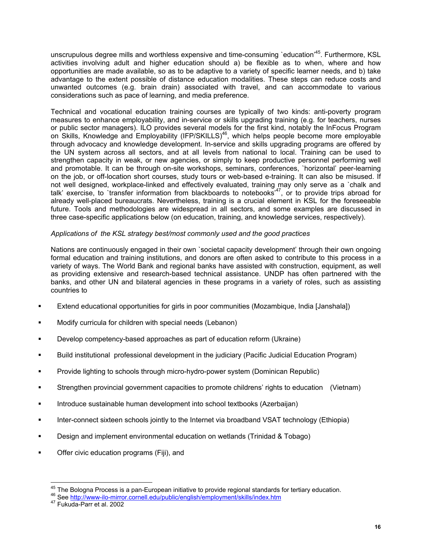unscrupulous degree mills and worthless expensive and time-consuming 'education'<sup>45</sup>. Furthermore, KSL activities involving adult and higher education should a) be flexible as to when, where and how opportunities are made available, so as to be adaptive to a variety of specific learner needs, and b) take advantage to the extent possible of distance education modalities. These steps can reduce costs and unwanted outcomes (e.g. brain drain) associated with travel, and can accommodate to various considerations such as pace of learning, and media preference.

Technical and vocational education training courses are typically of two kinds: anti-poverty program measures to enhance employability, and in-service or skills upgrading training (e.g. for teachers, nurses or public sector managers). ILO provides several models for the first kind, notably the InFocus Program on Skills, Knowledge and Employability (IFP/SKILLS)<sup>46</sup>, which helps people become more employable through advocacy and knowledge development. In-service and skills upgrading programs are offered by the UN system across all sectors, and at all levels from national to local. Training can be used to strengthen capacity in weak, or new agencies, or simply to keep productive personnel performing well and promotable. It can be through on-site workshops, seminars, conferences, `horizontal' peer-learning on the job, or off-location short courses, study tours or web-based e-training. It can also be misused. If not well designed, workplace-linked and effectively evaluated, training may only serve as a `chalk and talk' exercise, to 'transfer information from blackboards to notebooks $47$ , or to provide trips abroad for already well-placed bureaucrats. Nevertheless, training is a crucial element in KSL for the foreseeable future. Tools and methodologies are widespread in all sectors, and some examples are discussed in three case-specific applications below (on education, training, and knowledge services, respectively).

## *Applications of the KSL strategy best/most commonly used and the good practices*

Nations are continuously engaged in their own `societal capacity development' through their own ongoing formal education and training institutions, and donors are often asked to contribute to this process in a variety of ways. The World Bank and regional banks have assisted with construction, equipment, as well as providing extensive and research-based technical assistance. UNDP has often partnered with the banks, and other UN and bilateral agencies in these programs in a variety of roles, such as assisting countries to

- Extend educational opportunities for girls in poor communities (Mozambique, India [Janshala])
- Modify curricula for children with special needs (Lebanon)
- Develop competency-based approaches as part of education reform (Ukraine)
- Build institutional professional development in the judiciary (Pacific Judicial Education Program)
- Provide lighting to schools through micro-hydro-power system (Dominican Republic)
- Strengthen provincial government capacities to promote childrens' rights to education (Vietnam)
- **Introduce sustainable human development into school textbooks (Azerbaijan)**
- **Inter-connect sixteen schools jointly to the Internet via broadband VSAT technology (Ethiopia)**
- Design and implement environmental education on wetlands (Trinidad & Tobago)
- Offer civic education programs (Fiji), and

<sup>&</sup>lt;sup>45</sup> The Bologna Process is a pan-European initiative to provide regional standards for tertiary education.

<sup>46</sup> See http://www-ilo-mirror.cornell.edu/public/english/employment/skills/index.htm<br><sup>47</sup> Fukuda-Parr et al. 2002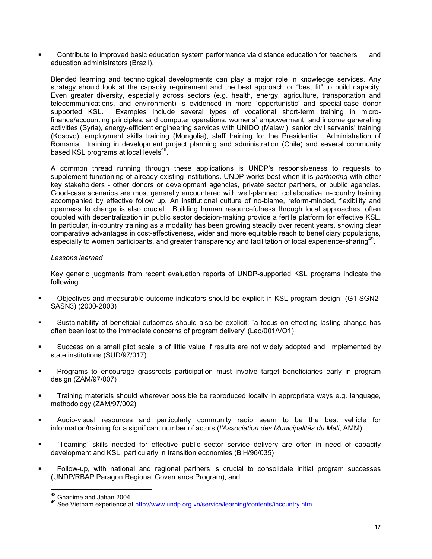Contribute to improved basic education system performance via distance education for teachers and education administrators (Brazil).

Blended learning and technological developments can play a major role in knowledge services. Any strategy should look at the capacity requirement and the best approach or "best fit" to build capacity. Even greater diversity, especially across sectors (e.g. health, energy, agriculture, transportation and telecommunications, and environment) is evidenced in more `opportunistic' and special-case donor supported KSL. Examples include several types of vocational short-term training in microfinance/accounting principles, and computer operations, womens' empowerment, and income generating activities (Syria), energy-efficient engineering services with UNIDO (Malawi), senior civil servants' training (Kosovo), employment skills training (Mongolia), staff training for the Presidential Administration of Romania, training in development project planning and administration (Chile) and several community based KSL programs at local levels<sup>48</sup>.

A common thread running through these applications is UNDP's responsiveness to requests to supplement functioning of already existing institutions. UNDP works best when it is *partnering* with other key stakeholders - other donors or development agencies, private sector partners, or public agencies. Good-case scenarios are most generally encountered with well-planned, collaborative in-country training accompanied by effective follow up. An institutional culture of no-blame, reform-minded, flexibility and openness to change is also crucial. Building human resourcefulness through local approaches, often coupled with decentralization in public sector decision-making provide a fertile platform for effective KSL. In particular, in-country training as a modality has been growing steadily over recent years, showing clear comparative advantages in cost-effectiveness, wider and more equitable reach to beneficiary populations, especially to women participants, and greater transparency and facilitation of local experience-sharing<sup>49</sup>.

## *Lessons learned*

Key generic judgments from recent evaluation reports of UNDP-supported KSL programs indicate the following:

- Objectives and measurable outcome indicators should be explicit in KSL program design (G1-SGN2- SASN3) (2000-2003)
- Sustainability of beneficial outcomes should also be explicit: `a focus on effecting lasting change has often been lost to the immediate concerns of program delivery' (Lao/001/VO1)
- Success on a small pilot scale is of little value if results are not widely adopted and implemented by state institutions (SUD/97/017)
- Programs to encourage grassroots participation must involve target beneficiaries early in program design (ZAM/97/007)
- Training materials should wherever possible be reproduced locally in appropriate ways e.g. language, methodology (ZAM/97/002)
- Audio-visual resources and particularly community radio seem to be the best vehicle for information/training for a significant number of actors (*l'Association des Municipalités du Mali*, AMM)
- `Teaming' skills needed for effective public sector service delivery are often in need of capacity development and KSL, particularly in transition economies (BiH/96/035)
- Follow-up, with national and regional partners is crucial to consolidate initial program successes (UNDP/RBAP Paragon Regional Governance Program), and

<sup>&</sup>lt;sup>48</sup> Ghanime and Jahan 2004

<sup>49</sup> See Vietnam experience at http://www.undp.org.vn/service/learning/contents/incountry.htm.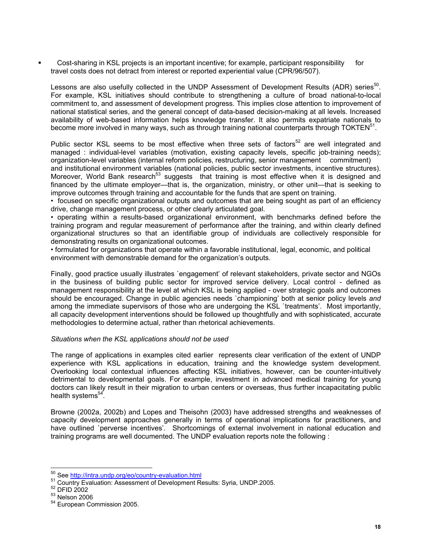Cost-sharing in KSL projects is an important incentive; for example, participant responsibility for travel costs does not detract from interest or reported experiential value (CPR/96/507).

Lessons are also usefully collected in the UNDP Assessment of Development Results (ADR) series<sup>50</sup>. For example, KSL initiatives should contribute to strengthening a culture of broad national-to-local commitment to, and assessment of development progress. This implies close attention to improvement of national statistical series, and the general concept of data-based decision-making at all levels. Increased availability of web-based information helps knowledge transfer. It also permits expatriate nationals to become more involved in many ways, such as through training national counterparts through TOKTEN<sup>51</sup>.

Public sector KSL seems to be most effective when three sets of factors<sup>52</sup> are well integrated and managed : individual-level variables (motivation, existing capacity levels, specific job-training needs); organization-level variables (internal reform policies, restructuring, senior management commitment)

and institutional environment variables (national policies, public sector investments, incentive structures). Moreover, World Bank research<sup>53</sup> suggests that training is most effective when it is designed and financed by the ultimate employer—that is, the organization, ministry, or other unit—that is seeking to improve outcomes through training and accountable for the funds that are spent on training.

• focused on specific organizational outputs and outcomes that are being sought as part of an efficiency drive, change management process, or other clearly articulated goal.

• operating within a results-based organizational environment, with benchmarks defined before the training program and regular measurement of performance after the training, and within clearly defined organizational structures so that an identifiable group of individuals are collectively responsible for demonstrating results on organizational outcomes.

• formulated for organizations that operate within a favorable institutional, legal, economic, and political environment with demonstrable demand for the organization's outputs.

Finally, good practice usually illustrates `engagement' of relevant stakeholders, private sector and NGOs in the business of building public sector for improved service delivery. Local control - defined as management responsibility at the level at which KSL is being applied - over strategic goals and outcomes should be encouraged. Change in public agencies needs `championing' both at senior policy levels *and* among the immediate supervisors of those who are undergoing the KSL `treatments'. Most importantly, all capacity development interventions should be followed up thoughtfully and with sophisticated, accurate methodologies to determine actual, rather than rhetorical achievements.

#### *Situations when the KSL applications should not be used*

The range of applications in examples cited earlier represents clear verification of the extent of UNDP experience with KSL applications in education, training and the knowledge system development. Overlooking local contextual influences affecting KSL initiatives, however, can be counter-intuitively detrimental to developmental goals. For example, investment in advanced medical training for young doctors can likely result in their migration to urban centers or overseas, thus further incapacitating public health systems $54$ .

Browne (2002a, 2002b) and Lopes and Theisohn (2003) have addressed strengths and weaknesses of capacity development approaches generally in terms of operational implications for practitioners, and have outlined `perverse incentives'. Shortcomings of external involvement in national education and training programs are well documented. The UNDP evaluation reports note the following :

<sup>50</sup> See http://intra.undp.org/eo/country-evaluation.html

<sup>51</sup> Country-Evaluation: Assessment of Development Results: Syria, UNDP.2005.<br>
<sup>52</sup> DFID 2002<br>
<sup>53</sup> Nelson 2006<br>
<sup>54</sup> European Commission 2005.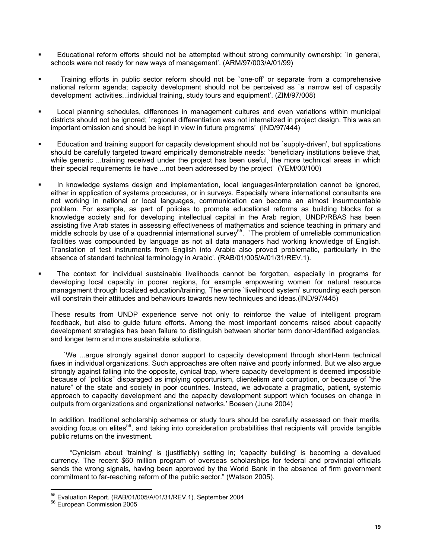- Educational reform efforts should not be attempted without strong community ownership; `in general, schools were not ready for new ways of management'. (ARM/97/003/A/01/99)
- Training efforts in public sector reform should not be `one-off' or separate from a comprehensive national reform agenda; capacity development should not be perceived as `a narrow set of capacity development activities...individual training, study tours and equipment'. (ZIM/97/008)
- Local planning schedules, differences in management cultures and even variations within municipal districts should not be ignored; `regional differentiation was not internalized in project design. This was an important omission and should be kept in view in future programs' (IND/97/444)
- Education and training support for capacity development should not be `supply-driven', but applications should be carefully targeted toward empirically demonstrable needs: `beneficiary institutions believe that, while generic ...training received under the project has been useful, the more technical areas in which their special requirements lie have ...not been addressed by the project' (YEM/00/100)
- In knowledge systems design and implementation, local languages/interpretation cannot be ignored, either in application of systems procedures, or in surveys. Especially where international consultants are not working in national or local languages, communication can become an almost insurmountable problem. For example, as part of policies to promote educational reforms as building blocks for a knowledge society and for developing intellectual capital in the Arab region, UNDP/RBAS has been assisting five Arab states in assessing effectiveness of mathematics and science teaching in primary and middle schools by use of a quadrennial international survey<sup>55</sup>. `The problem of unreliable communication facilities was compounded by language as not all data managers had working knowledge of English. Translation of test instruments from English into Arabic also proved problematic, particularly in the absence of standard technical terminology in Arabic'. (RAB/01/005/A/01/31/REV.1).
- The context for individual sustainable livelihoods cannot be forgotten, especially in programs for developing local capacity in poorer regions, for example empowering women for natural resource management through localized education/training, The entire `livelihood system' surrounding each person will constrain their attitudes and behaviours towards new techniques and ideas.(IND/97/445)

These results from UNDP experience serve not only to reinforce the value of intelligent program feedback, but also to guide future efforts. Among the most important concerns raised about capacity development strategies has been failure to distinguish between shorter term donor-identified exigencies, and longer term and more sustainable solutions.

`We ...argue strongly against donor support to capacity development through short-term technical fixes in individual organizations. Such approaches are often naïve and poorly informed. But we also argue strongly against falling into the opposite, cynical trap, where capacity development is deemed impossible because of "politics" disparaged as implying opportunism, clientelism and corruption, or because of "the nature" of the state and society in poor countries. Instead, we advocate a pragmatic, patient, systemic approach to capacity development and the capacity development support which focuses on change in outputs from organizations and organizational networks.' Boesen (June 2004)

In addition, traditional scholarship schemes or study tours should be carefully assessed on their merits, avoiding focus on elites<sup>56</sup>, and taking into consideration probabilities that recipients will provide tangible public returns on the investment.

"Cynicism about 'training' is (justifiably) setting in; 'capacity building' is becoming a devalued currency. The recent \$60 million program of overseas scholarships for federal and provincial officials sends the wrong signals, having been approved by the World Bank in the absence of firm government commitment to far-reaching reform of the public sector." (Watson 2005).

 $\overline{a}$ 

<sup>&</sup>lt;sup>55</sup> Evaluation Report. (RAB/01/005/A/01/31/REV.1). September 2004<br><sup>56</sup> European Commission 2005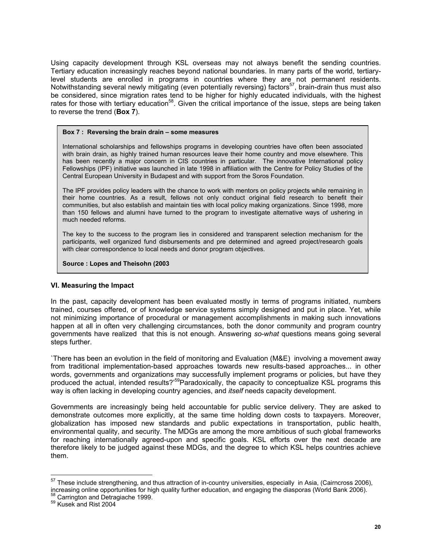Using capacity development through KSL overseas may not always benefit the sending countries. Tertiary education increasingly reaches beyond national boundaries. In many parts of the world, tertiarylevel students are enrolled in programs in countries where they are not permanent residents. Notwithstanding several newly mitigating (even potentially reversing) factors<sup>57</sup>, brain-drain thus must also be considered, since migration rates tend to be higher for highly educated individuals, with the highest rates for those with tertiary education<sup>58</sup>. Given the critical importance of the issue, steps are being taken to reverse the trend (**Box 7**).

#### **Box 7 : Reversing the brain drain – some measures**

International scholarships and fellowships programs in developing countries have often been associated with brain drain, as highly trained human resources leave their home country and move elsewhere. This has been recently a major concern in CIS countries in particular. The innovative International policy Fellowships (IPF) initiative was launched in late 1998 in affiliation with the Centre for Policy Studies of the Central European University in Budapest and with support from the Soros Foundation.

The IPF provides policy leaders with the chance to work with mentors on policy projects while remaining in their home countries. As a result, fellows not only conduct original field research to benefit their communities, but also establish and maintain ties with local policy making organizations. Since 1998, more than 150 fellows and alumni have turned to the program to investigate alternative ways of ushering in much needed reforms.

The key to the success to the program lies in considered and transparent selection mechanism for the participants, well organized fund disbursements and pre determined and agreed project/research goals with clear correspondence to local needs and donor program objectives.

#### **Source : Lopes and Theisohn (2003**

#### **VI. Measuring the Impact**

In the past, capacity development has been evaluated mostly in terms of programs initiated, numbers trained, courses offered, or of knowledge service systems simply designed and put in place. Yet, while not minimizing importance of procedural or management accomplishments in making such innovations happen at all in often very challenging circumstances, both the donor community and program country governments have realized that this is not enough. Answering *so-what* questions means going several steps further.

`There has been an evolution in the field of monitoring and Evaluation (M&E) involving a movement away from traditional implementation-based approaches towards new results-based approaches... in other words, governments and organizations may successfully implement programs or policies, but have they produced the actual, intended results?<sup>59</sup>Paradoxically, the capacity to conceptualize KSL programs this way is often lacking in developing country agencies, and *itself* needs capacity development.

Governments are increasingly being held accountable for public service delivery. They are asked to demonstrate outcomes more explicitly, at the same time holding down costs to taxpayers. Moreover, globalization has imposed new standards and public expectations in transportation, public health, environmental quality, and security. The MDGs are among the more ambitious of such global frameworks for reaching internationally agreed-upon and specific goals. KSL efforts over the next decade are therefore likely to be judged against these MDGs, and the degree to which KSL helps countries achieve them.

 $\overline{a}$ 

 $57$  These include strengthening, and thus attraction of in-country universities, especially in Asia, (Cairncross 2006), increasing online opportunities for high quality further education, and engaging the diasporas (World Bank 2006).<br><sup>58</sup> Carrington and Detragiache 1999.<br><sup>59</sup> Kusek and Rist 2004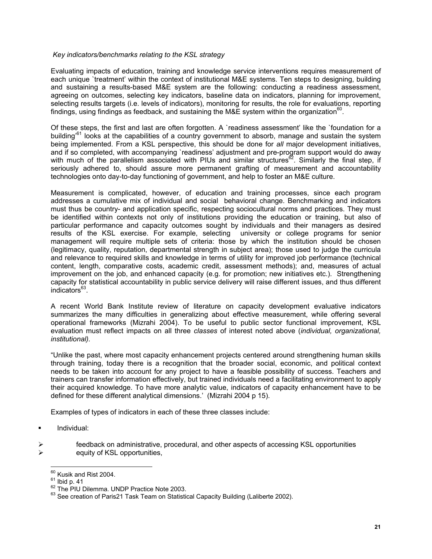## *Key indicators/benchmarks relating to the KSL strategy*

Evaluating impacts of education, training and knowledge service interventions requires measurement of each unique `treatment' within the context of institutional M&E systems. Ten steps to designing, building and sustaining a results-based M&E system are the following: conducting a readiness assessment, agreeing on outcomes, selecting key indicators, baseline data on indicators, planning for improvement, selecting results targets (i.e. levels of indicators), monitoring for results, the role for evaluations, reporting findings, using findings as feedback, and sustaining the M&E system within the organization<sup>60</sup>.

Of these steps, the first and last are often forgotten. A `readiness assessment' like the `foundation for a building<sup>61</sup> looks at the capabilities of a country government to absorb, manage and sustain the system being implemented. From a KSL perspective, this should be done for *all* major development initiatives, and if so completed, with accompanying `readiness' adjustment and pre-program support would do away with much of the parallelism associated with PIUs and similar structures<sup>62</sup>. Similarly the final step, if seriously adhered to, should assure more permanent grafting of measurement and accountability technologies onto day-to-day functioning of government, and help to foster an M&E culture.

Measurement is complicated, however, of education and training processes, since each program addresses a cumulative mix of individual and social behavioral change. Benchmarking and indicators must thus be country- and application specific, respecting sociocultural norms and practices. They must be identified within contexts not only of institutions providing the education or training, but also of particular performance and capacity outcomes sought by individuals and their managers as desired results of the KSL exercise. For example, selecting university or college programs for senior management will require multiple sets of criteria: those by which the institution should be chosen (legitimacy, quality, reputation, departmental strength in subject area); those used to judge the curricula and relevance to required skills and knowledge in terms of utility for improved job performance (technical content, length, comparative costs, academic credit, assessment methods); and, measures of actual improvement on the job, and enhanced capacity (e.g. for promotion; new initiatives etc.). Strengthening capacity for statistical accountability in public service delivery will raise different issues, and thus different  $indicators<sup>63</sup>$ .

A recent World Bank Institute review of literature on capacity development evaluative indicators summarizes the many difficulties in generalizing about effective measurement, while offering several operational frameworks (Mizrahi 2004). To be useful to public sector functional improvement, KSL evaluation must reflect impacts on all three *classes* of interest noted above (*individual, organizational, institutional).*

"Unlike the past, where most capacity enhancement projects centered around strengthening human skills through training, today there is a recognition that the broader social, economic, and political context needs to be taken into account for any project to have a feasible possibility of success. Teachers and trainers can transfer information effectively, but trained individuals need a facilitating environment to apply their acquired knowledge. To have more analytic value, indicators of capacity enhancement have to be defined for these different analytical dimensions.' (Mizrahi 2004 p 15).

Examples of types of indicators in each of these three classes include:

- **Individual:**
- feedback on administrative, procedural, and other aspects of accessing KSL opportunities equity of KSL opportunities,

 $60$  Kusik and Rist 2004.

<sup>61</sup> Ibid p. 41<br> $^{61}$  Ibid p. 41<br> $^{62}$  The PIU Dilemma. UNDP Practice Note 2003.<br> $^{63}$  See creation of Paris21 Task Team on Statistical Capacity Building (Laliberte 2002).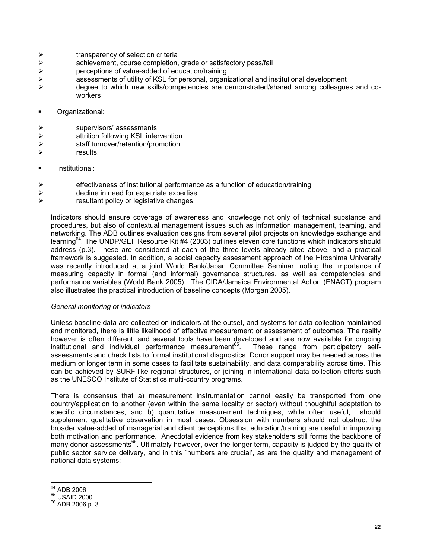- $\triangleright$  transparency of selection criteria
- →<br>
achievement, course completion, grade or satisfactory pass/fail<br>
perceptions of value-added of education/training<br>
assessments of utility of KSL for personal, organizational and in
- perceptions of value-added of education/training
- ¾ assessments of utility of KSL for personal, organizational and institutional development
- ¾ degree to which new skills/competencies are demonstrated/shared among colleagues and coworkers
- **Crganizational:**
- ¾ supervisors' assessments
- ¾ attrition following KSL intervention
- ¾ staff turnover/retention/promotion
- $\triangleright$  results.
- **Institutional:**
- $\triangleright$  effectiveness of institutional performance as a function of education/training
- $\triangleright$  decline in need for expatriate expertise
- $\triangleright$  resultant policy or legislative changes.

Indicators should ensure coverage of awareness and knowledge not only of technical substance and procedures, but also of contextual management issues such as information management, teaming, and networking. The ADB outlines evaluation designs from several pilot projects on knowledge exchange and learning64. The UNDP/GEF Resource Kit #4 (2003) outlines eleven core functions which indicators should address (p.3). These are considered at each of the three levels already cited above, and a practical framework is suggested. In addition, a social capacity assessment approach of the Hiroshima University was recently introduced at a joint World Bank/Japan Committee Seminar, noting the importance of measuring capacity in formal (and informal) governance structures, as well as competencies and performance variables (World Bank 2005). The CIDA/Jamaica Environmental Action (ENACT) program also illustrates the practical introduction of baseline concepts (Morgan 2005).

#### *General monitoring of indicators*

Unless baseline data are collected on indicators at the outset, and systems for data collection maintained and monitored, there is little likelihood of effective measurement or assessment of outcomes. The reality however is often different, and several tools have been developed and are now available for ongoing institutional and individual performance measurement<sup>65</sup>. These range from participatory selfassessments and check lists to formal institutional diagnostics. Donor support may be needed across the medium or longer term in some cases to facilitate sustainability, and data comparability across time. This can be achieved by SURF-like regional structures, or joining in international data collection efforts such as the UNESCO Institute of Statistics multi-country programs.

There is consensus that a) measurement instrumentation cannot easily be transported from one country/application to another (even within the same locality or sector) without thoughtful adaptation to specific circumstances, and b) quantitative measurement techniques, while often useful, should supplement qualitative observation in most cases. Obsession with numbers should not obstruct the broader value-added of managerial and client perceptions that education/training are useful in improving both motivation and performance. Anecdotal evidence from key stakeholders still forms the backbone of many donor assessments<sup>66</sup>. Ultimately however, over the longer term, capacity is judged by the quality of public sector service delivery, and in this `numbers are crucial', as are the quality and management of national data systems:

<sup>&</sup>lt;sup>64</sup> ADB 2006

 $^{65}$  USAID 2000<br> $^{66}$  ADB 2006 p. 3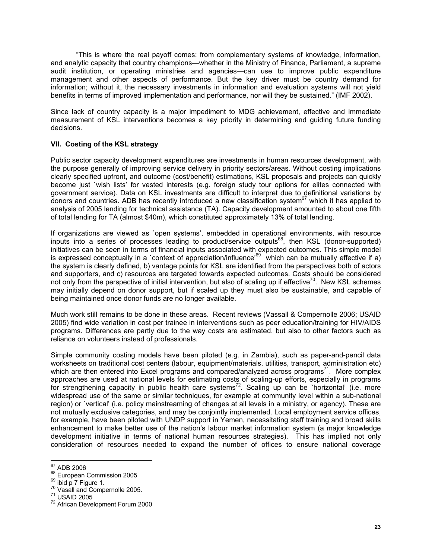"This is where the real payoff comes: from complementary systems of knowledge, information, and analytic capacity that country champions—whether in the Ministry of Finance, Parliament, a supreme audit institution, or operating ministries and agencies—can use to improve public expenditure management and other aspects of performance. But the key driver must be country demand for information; without it, the necessary investments in information and evaluation systems will not yield benefits in terms of improved implementation and performance, nor will they be sustained." (IMF 2002).

Since lack of country capacity is a major impediment to MDG achievement, effective and immediate measurement of KSL interventions becomes a key priority in determining and guiding future funding decisions.

## **VII. Costing of the KSL strategy**

Public sector capacity development expenditures are investments in human resources development, with the purpose generally of improving service delivery in priority sectors/areas. Without costing implications clearly specified upfront, and outcome (cost/benefit) estimations, KSL proposals and projects can quickly become just `wish lists' for vested interests (e.g. foreign study tour options for elites connected with government service). Data on KSL investments are difficult to interpret due to definitional variations by donors and countries. ADB has recently introduced a new classification system<sup>67</sup> which it has applied to analysis of 2005 lending for technical assistance (TA). Capacity development amounted to about one fifth of total lending for TA (almost \$40m), which constituted approximately 13% of total lending.

If organizations are viewed as `open systems', embedded in operational environments, with resource inputs into a series of processes leading to product/service outputs<sup>68</sup>, then KSL (donor-supported) initiatives can be seen in terms of financial inputs associated with expected outcomes. This simple model is expressed conceptually in a `context of appreciation/influence'69 which can be mutually effective if a) the system is clearly defined, b) vantage points for KSL are identified from the perspectives both of actors and supporters, and c) resources are targeted towards expected outcomes. Costs should be considered not only from the perspective of initial intervention, but also of scaling up if effective<sup>70</sup>. New KSL schemes may initially depend on donor support, but if scaled up they must also be sustainable, and capable of being maintained once donor funds are no longer available.

Much work still remains to be done in these areas. Recent reviews (Vassall & Compernolle 2006; USAID 2005) find wide variation in cost per trainee in interventions such as peer education/training for HIV/AIDS programs. Differences are partly due to the way costs are estimated, but also to other factors such as reliance on volunteers instead of professionals.

Simple community costing models have been piloted (e.g. in Zambia), such as paper-and-pencil data worksheets on traditional cost centers (labour, equipment/materials, utilities, transport, administration etc) which are then entered into Excel programs and compared/analyzed across programs<sup>71</sup>. More complex approaches are used at national levels for estimating costs of scaling-up efforts, especially in programs for strengthening capacity in public health care systems<sup>72</sup>. Scaling up can be `horizontal' (i.e. more widespread use of the same or similar techniques, for example at community level within a sub-national region) or `vertical' (i.e. policy mainstreaming of changes at all levels in a ministry, or agency). These are not mutually exclusive categories, and may be conjointly implemented. Local employment service offices, for example, have been piloted with UNDP support in Yemen, necessitating staff training and broad skills enhancement to make better use of the nation's labour market information system (a major knowledge development initiative in terms of national human resources strategies). This has implied not only consideration of resources needed to expand the number of offices to ensure national coverage

<sup>&</sup>lt;sup>67</sup> ADB 2006

<sup>&</sup>lt;sup>68</sup> European Commission 2005<br><sup>69</sup> ibid p 7 Figure 1.<br><sup>70</sup> Vasall and Compernolle 2005.<br><sup>71</sup> USAID 2005<br><sup>72</sup> African Development Forum 2000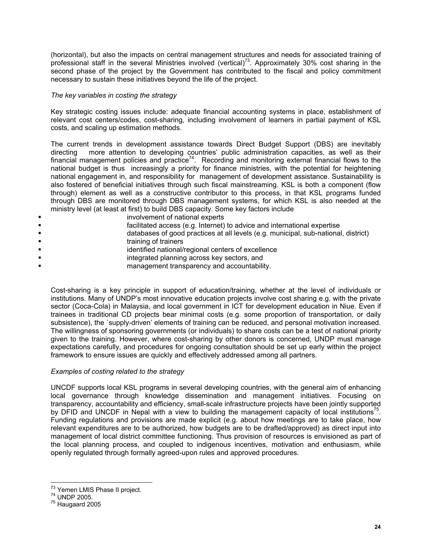(horizontal), but also the impacts on central management structures and needs for associated training of professional staff in the several Ministries involved (vertical)<sup>73</sup>. Approximately 30% cost sharing in the second phase of the project by the Government has contributed to the fiscal and policy commitment necessary to sustain these initiatives beyond the life of the project.

## *The key variables in costing the strategy*

Key strategic costing issues include: adequate financial accounting systems in place, establishment of relevant cost centers/codes, cost-sharing, including involvement of learners in partial payment of KSL costs, and scaling up estimation methods.

The current trends in development assistance towards Direct Budget Support (DBS) are inevitably directing more attention to developing countries' public administration capacities, as well as their financial management policies and practice<sup>74</sup>. Recording and monitoring external financial flows to the national budget is thus increasingly a priority for finance ministries, with the potential for heightening national engagement in, and responsibility for management of development assistance. Sustainability is also fostered of beneficial initiatives through such fiscal mainstreaming. KSL is both a component (flow through) element as well as a constructive contributor to this process, in that KSL programs funded through DBS are monitored through DBS management systems, for which KSL is also needed at the ministry level (at least at first) to build DBS capacity. Some key factors include

- involvement of national experts
- facilitated access (e.g. Internet) to advice and international expertise
- databases of good practices at all levels (e.g. municipal, sub-national, district)
- training of trainers
- **Example 1** identified national/regional centers of excellence
- integrated planning across key sectors, and
- **Example 20** management transparency and accountability.

Cost-sharing is a key principle in support of education/training, whether at the level of individuals or institutions. Many of UNDP's most innovative education projects involve cost sharing e.g. with the private sector (Coca-Cola) in Malaysia, and local government in ICT for development education in Niue. Even if trainees in traditional CD projects bear minimal costs (e.g. some proportion of transportation, or daily subsistence), the `supply-driven' elements of training can be reduced, and personal motivation increased. The willingness of sponsoring governments (or individuals) to share costs can be a test of national priority given to the training. However, where cost-sharing by other donors is concerned, UNDP must manage expectations carefully, and procedures for ongoing consultation should be set up early within the project framework to ensure issues are quickly and effectively addressed among all partners.

#### *Examples of costing related to the strategy*

UNCDF supports local KSL programs in several developing countries, with the general aim of enhancing local governance through knowledge dissemination and management initiatives. Focusing on transparency, accountability and efficiency, small-scale infrastructure projects have been jointly supported by DFID and UNCDF in Nepal with a view to building the management capacity of local institutions<sup> $\text{5}$ </sup>. Funding regulations and provisions are made explicit (e.g. about how meetings are to take place, how relevant expenditures are to be authorized, how budgets are to be drafted/approved) as direct input into management of local district committee functioning. Thus provision of resources is envisioned as part of the local planning process, and coupled to indigenous incentives, motivation and enthusiasm, while openly regulated through formally agreed-upon rules and approved procedures.

 $\overline{a}$ 

<sup>&</sup>lt;sup>73</sup> Yemen LMIS Phase II project.<br><sup>74</sup> UNDP 2005.<br><sup>75</sup> Haugaard 2005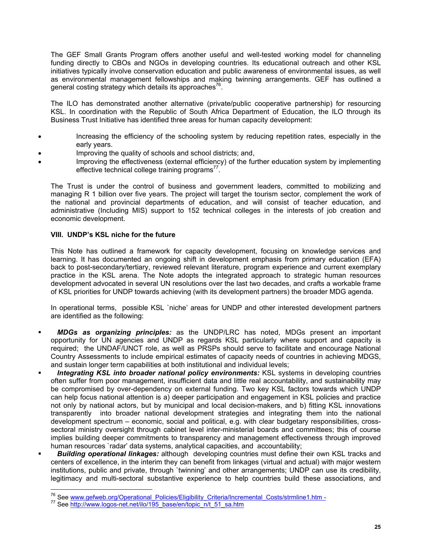The GEF Small Grants Program offers another useful and well-tested working model for channeling funding directly to CBOs and NGOs in developing countries. Its educational outreach and other KSL initiatives typically involve conservation education and public awareness of environmental issues, as well as environmental management fellowships and making twinning arrangements. GEF has outlined a general costing strategy which details its approaches<sup>76</sup>.

The ILO has demonstrated another alternative (private/public cooperative partnership) for resourcing KSL. In coordination with the Republic of South Africa Department of Education, the ILO through its Business Trust Initiative has identified three areas for human capacity development:

- Increasing the efficiency of the schooling system by reducing repetition rates, especially in the early years.
- Improving the quality of schools and school districts; and,
- Improving the effectiveness (external efficiency) of the further education system by implementing effective technical college training programs<sup>77</sup>.

The Trust is under the control of business and government leaders, committed to mobilizing and managing R 1 billion over five years. The project will target the tourism sector, complement the work of the national and provincial departments of education, and will consist of teacher education, and administrative (Including MIS) support to 152 technical colleges in the interests of job creation and economic development.

## **VIII. UNDP's KSL niche for the future**

This Note has outlined a framework for capacity development, focusing on knowledge services and learning. It has documented an ongoing shift in development emphasis from primary education (EFA) back to post-secondary/tertiary, reviewed relevant literature, program experience and current exemplary practice in the KSL arena. The Note adopts the integrated approach to strategic human resources development advocated in several UN resolutions over the last two decades, and crafts a workable frame of KSL priorities for UNDP towards achieving (with its development partners) the broader MDG agenda.

In operational terms, possible KSL `niche' areas for UNDP and other interested development partners are identified as the following:

- *MDGs as organizing principles:* as the UNDP/LRC has noted, MDGs present an important opportunity for UN agencies and UNDP as regards KSL particularly where support and capacity is required; the UNDAF/UNCT role, as well as PRSPs should serve to facilitate and encourage National Country Assessments to include empirical estimates of capacity needs of countries in achieving MDGS, and sustain longer term capabilities at both institutional and individual levels;
- *Integrating KSL into broader national policy environments:* KSL systems in developing countries often suffer from poor management, insufficient data and little real accountability, and sustainability may be compromised by over-dependency on external funding. Two key KSL factors towards which UNDP can help focus national attention is a) deeper participation and engagement in KSL policies and practice not only by national actors, but by municipal and local decision-makers, and b) fitting KSL innovations transparently into broader national development strategies and integrating them into the national development spectrum – economic, social and political, e.g. with clear budgetary responsibilities, crosssectoral ministry oversight through cabinet level inter-ministerial boards and committees; this of course implies building deeper commitments to transparency and management effectiveness through improved human resources `radar' data systems, analytical capacities, and accountability;
- *Building operational linkages:* although developing countries must define their own KSL tracks and centers of excellence, in the interim they can benefit from linkages (virtual and actual) with major western institutions, public and private, through `twinning' and other arrangements; UNDP can use its credibility, legitimacy and multi-sectoral substantive experience to help countries build these associations, and

 $\overline{a}$ 

<sup>&</sup>lt;sup>76</sup> See <u>www.gefweb.org/Operational\_Policies/Eligibility\_Criteria/Incremental\_Costs/strmline1.htm -<br><sup>77</sup> See <u>http://www.logos-net.net/ilo/195\_base/en/topic\_n/t\_51\_sa.htm</u></u>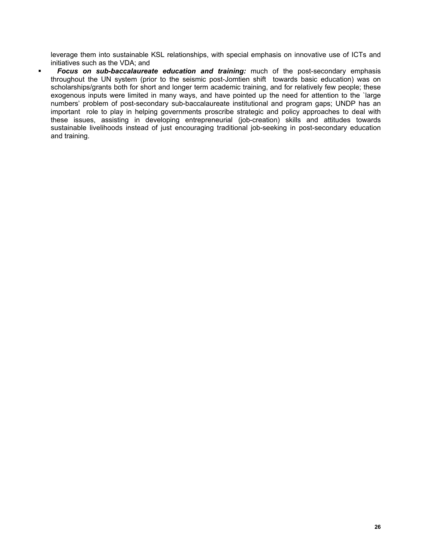leverage them into sustainable KSL relationships, with special emphasis on innovative use of ICTs and initiatives such as the VDA; and

 *Focus on sub-baccalaureate education and training:* much of the post-secondary emphasis throughout the UN system (prior to the seismic post-Jomtien shift towards basic education) was on scholarships/grants both for short and longer term academic training, and for relatively few people; these exogenous inputs were limited in many ways, and have pointed up the need for attention to the `large numbers' problem of post-secondary sub-baccalaureate institutional and program gaps; UNDP has an important role to play in helping governments proscribe strategic and policy approaches to deal with these issues, assisting in developing entrepreneurial (job-creation) skills and attitudes towards sustainable livelihoods instead of just encouraging traditional job-seeking in post-secondary education and training.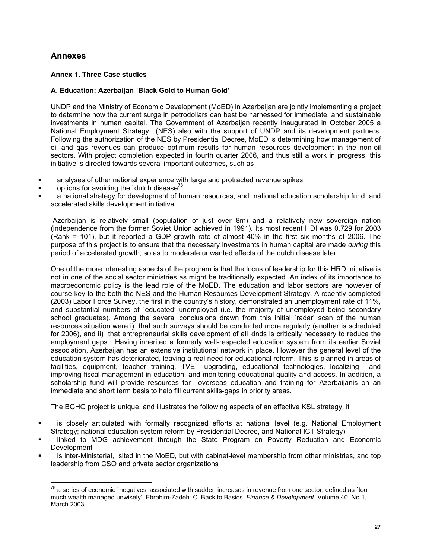## **Annexes**

 $\overline{a}$ 

## **Annex 1. Three Case studies**

## **A. Education: Azerbaijan `Black Gold to Human Gold'**

UNDP and the Ministry of Economic Development (MoED) in Azerbaijan are jointly implementing a project to determine how the current surge in petrodollars can best be harnessed for immediate, and sustainable investments in human capital. The Government of Azerbaijan recently inaugurated in October 2005 a National Employment Strategy (NES) also with the support of UNDP and its development partners. Following the authorization of the NES by Presidential Decree, MoED is determining how management of oil and gas revenues can produce optimum results for human resources development in the non-oil sectors. With project completion expected in fourth quarter 2006, and thus still a work in progress, this initiative is directed towards several important outcomes, such as

- analyses of other national experience with large and protracted revenue spikes
- options for avoiding the `dutch disease<sup>78</sup>.
- a national strategy for development of human resources, and national education scholarship fund, and accelerated skills development initiative.

 Azerbaijan is relatively small (population of just over 8m) and a relatively new sovereign nation (independence from the former Soviet Union achieved in 1991). Its most recent HDI was 0.729 for 2003 (Rank = 101), but it reported a GDP growth rate of almost 40% in the first six months of 2006. The purpose of this project is to ensure that the necessary investments in human capital are made *during* this period of accelerated growth, so as to moderate unwanted effects of the dutch disease later.

One of the more interesting aspects of the program is that the locus of leadership for this HRD initiative is not in one of the social sector ministries as might be traditionally expected. An index of its importance to macroeconomic policy is the lead role of the MoED. The education and labor sectors are however of course key to the both the NES and the Human Resources Development Strategy. A recently completed (2003) Labor Force Survey, the first in the country's history, demonstrated an unemployment rate of 11%, and substantial numbers of `educated' unemployed (i.e. the majority of unemployed being secondary school graduates). Among the several conclusions drawn from this initial `radar' scan of the human resources situation were i) that such surveys should be conducted more regularly (another is scheduled for 2006), and ii) that entrepreneurial skills development of all kinds is critically necessary to reduce the employment gaps. Having inherited a formerly well-respected education system from its earlier Soviet association, Azerbaijan has an extensive institutional network in place. However the general level of the education system has deteriorated, leaving a real need for educational reform. This is planned in areas of facilities, equipment, teacher training, TVET upgrading, educational technologies, localizing and improving fiscal management in education, and monitoring educational quality and access. In addition, a scholarship fund will provide resources for overseas education and training for Azerbaijanis on an immediate and short term basis to help fill current skills-gaps in priority areas.

The BGHG project is unique, and illustrates the following aspects of an effective KSL strategy, it

- is closely articulated with formally recognized efforts at national level (e.g. National Employment Strategy; national education system reform by Presidential Decree, and National ICT Strategy)
- linked to MDG achievement through the State Program on Poverty Reduction and Economic **Development**
- is inter-Ministerial, sited in the MoED, but with cabinet-level membership from other ministries, and top leadership from CSO and private sector organizations

 $^{78}$  a series of economic `negatives' associated with sudden increases in revenue from one sector, defined as `too much wealth managed unwisely'. Ebrahim-Zadeh. C. Back to Basics. *Finance & Development*. Volume 40, No 1, March 2003.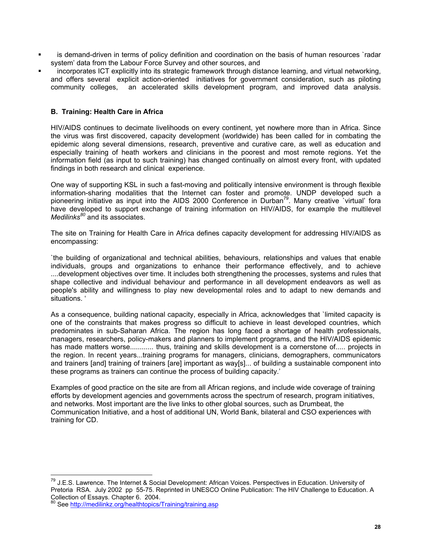- is demand-driven in terms of policy definition and coordination on the basis of human resources `radar system' data from the Labour Force Survey and other sources, and
- incorporates ICT explicitly into its strategic framework through distance learning, and virtual networking, and offers several explicit action-oriented initiatives for government consideration, such as piloting community colleges, an accelerated skills development program, and improved data analysis.

## **B. Training: Health Care in Africa**

HIV/AIDS continues to decimate livelihoods on every continent, yet nowhere more than in Africa. Since the virus was first discovered, capacity development (worldwide) has been called for in combating the epidemic along several dimensions, research, preventive and curative care, as well as education and especially training of heath workers and clinicians in the poorest and most remote regions. Yet the information field (as input to such training) has changed continually on almost every front, with updated findings in both research and clinical experience.

One way of supporting KSL in such a fast-moving and politically intensive environment is through flexible information-sharing modalities that the Internet can foster and promote. UNDP developed such a pioneering initiative as input into the AIDS 2000 Conference in Durban<sup>79</sup>. Many creative virtual' fora have developed to support exchange of training information on HIV/AIDS, for example the multilevel *Medilinks80* and its associates.

The site on Training for Health Care in Africa defines capacity development for addressing HIV/AIDS as encompassing:

`the building of organizational and technical abilities, behaviours, relationships and values that enable individuals, groups and organizations to enhance their performance effectively, and to achieve ....development objectives over time. It includes both strengthening the processes, systems and rules that shape collective and individual behaviour and performance in all development endeavors as well as people's ability and willingness to play new developmental roles and to adapt to new demands and situations. '

As a consequence, building national capacity, especially in Africa, acknowledges that `limited capacity is one of the constraints that makes progress so difficult to achieve in least developed countries, which predominates in sub-Saharan Africa. The region has long faced a shortage of health professionals, managers, researchers, policy-makers and planners to implement programs, and the HIV/AIDS epidemic has made matters worse............ thus, training and skills development is a cornerstone of..... projects in the region. In recent years...training programs for managers, clinicians, demographers, communicators and trainers [and] training of trainers [are] important as way[s]... of building a sustainable component into these programs as trainers can continue the process of building capacity.'

Examples of good practice on the site are from all African regions, and include wide coverage of training efforts by development agencies and governments across the spectrum of research, program initiatives, and networks. Most important are the live links to other global sources, such as Drumbeat, the Communication Initiative, and a host of additional UN, World Bank, bilateral and CSO experiences with training for CD.

 $\overline{a}$ 

<sup>&</sup>lt;sup>79</sup> J.E.S. Lawrence. The Internet & Social Development: African Voices. Perspectives in Education. University of Pretoria RSA. July 2002 pp 55-75. Reprinted in UNESCO Online Publication: The HIV Challenge to Education. A Collection of Essays. Chapter 6. 2004.

See http://medilinkz.org/healthtopics/Training/training.asp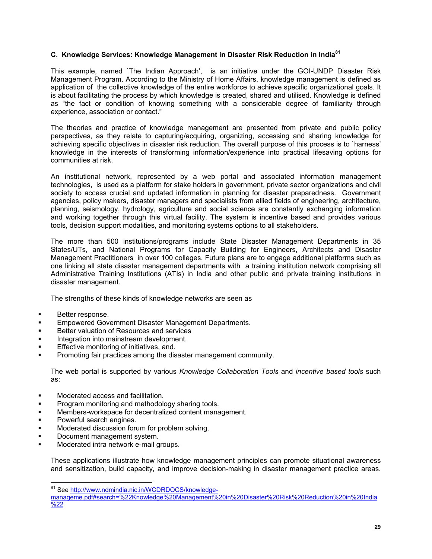## **C. Knowledge Services: Knowledge Management in Disaster Risk Reduction in India<sup>81</sup>**

This example, named `The Indian Approach', is an initiative under the GOI-UNDP Disaster Risk Management Program. According to the Ministry of Home Affairs, knowledge management is defined as application of the collective knowledge of the entire workforce to achieve specific organizational goals. It is about facilitating the process by which knowledge is created, shared and utilised. Knowledge is defined as "the fact or condition of knowing something with a considerable degree of familiarity through experience, association or contact."

The theories and practice of knowledge management are presented from private and public policy perspectives, as they relate to capturing/acquiring, organizing, accessing and sharing knowledge for achieving specific objectives in disaster risk reduction. The overall purpose of this process is to `harness' knowledge in the interests of transforming information/experience into practical lifesaving options for communities at risk.

An institutional network, represented by a web portal and associated information management technologies, is used as a platform for stake holders in government, private sector organizations and civil society to access crucial and updated information in planning for disaster preparedness. Government agencies, policy makers, disaster managers and specialists from allied fields of engineering, architecture, planning, seismology, hydrology, agriculture and social science are constantly exchanging information and working together through this virtual facility. The system is incentive based and provides various tools, decision support modalities, and monitoring systems options to all stakeholders.

The more than 500 institutions/programs include State Disaster Management Departments in 35 States/UTs, and National Programs for Capacity Building for Engineers, Architects and Disaster Management Practitioners in over 100 colleges. Future plans are to engage additional platforms such as one linking all state disaster management departments with a training institution network comprising all Administrative Training Institutions (ATIs) in India and other public and private training institutions in disaster management.

The strengths of these kinds of knowledge networks are seen as

- Better response.
- Empowered Government Disaster Management Departments.
- Better valuation of Resources and services
- Integration into mainstream development.
- Effective monitoring of initiatives, and.
- Promoting fair practices among the disaster management community.

The web portal is supported by various *Knowledge Collaboration Tools* and *incentive based tools* such as:

- Moderated access and facilitation.
- Program monitoring and methodology sharing tools.
- Members-workspace for decentralized content management.
- Powerful search engines.

 $\overline{a}$ 

- Moderated discussion forum for problem solving.
- Document management system.
- Moderated intra network e-mail groups.

These applications illustrate how knowledge management principles can promote situational awareness and sensitization, build capacity, and improve decision-making in disaster management practice areas.

<sup>&</sup>lt;sup>81</sup> See http://www.ndmindia.nic.in/WCDRDOCS/knowledge-

manageme.pdf#search=%22Knowledge%20Management%20in%20Disaster%20Risk%20Reduction%20in%20India  $\frac{6}{22}$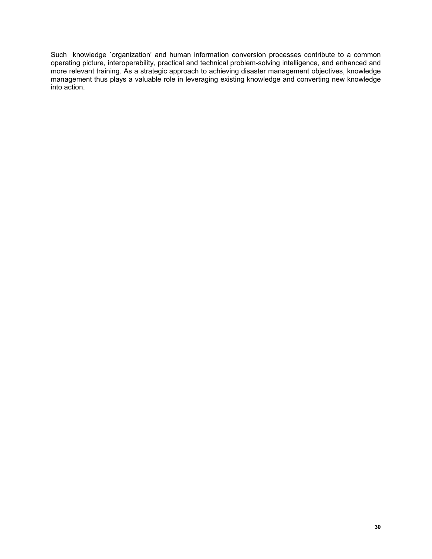Such knowledge `organization' and human information conversion processes contribute to a common operating picture, interoperability, practical and technical problem-solving intelligence, and enhanced and more relevant training. As a strategic approach to achieving disaster management objectives, knowledge management thus plays a valuable role in leveraging existing knowledge and converting new knowledge into action.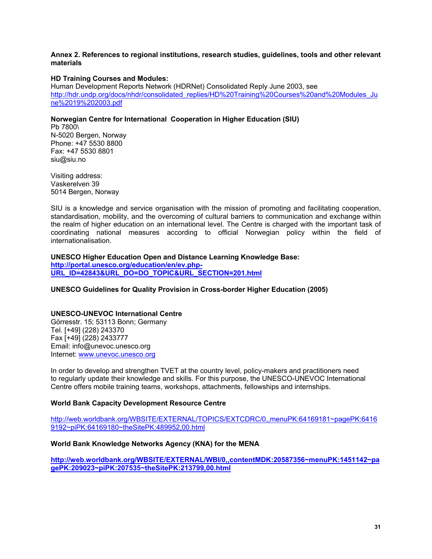## **Annex 2. References to regional institutions, research studies, guidelines, tools and other relevant materials**

## **HD Training Courses and Modules:**

Human Development Reports Network (HDRNet) Consolidated Reply June 2003, see http://hdr.undp.org/docs/nhdr/consolidated\_replies/HD%20Training%20Courses%20and%20Modules\_Ju ne%2019%202003.pdf

## **Norwegian Centre for International Cooperation in Higher Education (SIU)**

Pb 7800\ N-5020 Bergen, Norway Phone: +47 5530 8800 Fax: +47 5530 8801 siu@siu.no

Visiting address: Vaskerelven 39 5014 Bergen, Norway

SIU is a knowledge and service organisation with the mission of promoting and facilitating cooperation, standardisation, mobility, and the overcoming of cultural barriers to communication and exchange within the realm of higher education on an international level. The Centre is charged with the important task of coordinating national measures according to official Norwegian policy within the field of internationalisation.

**UNESCO Higher Education Open and Distance Learning Knowledge Base: http://portal.unesco.org/education/en/ev.php-URL\_ID=42843&URL\_DO=DO\_TOPIC&URL\_SECTION=201.html**

## **UNESCO Guidelines for Quality Provision in Cross-border Higher Education (2005)**

#### **UNESCO-UNEVOC International Centre**

Görresstr. 15; 53113 Bonn; Germany Tel. [+49] (228) 243370 Fax [+49] (228) 2433777 Email: info@unevoc.unesco.org Internet: www.unevoc.unesco.org

In order to develop and strengthen TVET at the country level, policy-makers and practitioners need to regularly update their knowledge and skills. For this purpose, the UNESCO-UNEVOC International Centre offers mobile training teams, workshops, attachments, fellowships and internships.

#### **World Bank Capacity Development Resource Centre**

http://web.worldbank.org/WBSITE/EXTERNAL/TOPICS/EXTCDRC/0,,menuPK:64169181~pagePK:6416 9192~piPK:64169180~theSitePK:489952,00.html

#### **World Bank Knowledge Networks Agency (KNA) for the MENA**

**http://web.worldbank.org/WBSITE/EXTERNAL/WBI/0,,contentMDK:20587356~menuPK:1451142~pa gePK:209023~piPK:207535~theSitePK:213799,00.html**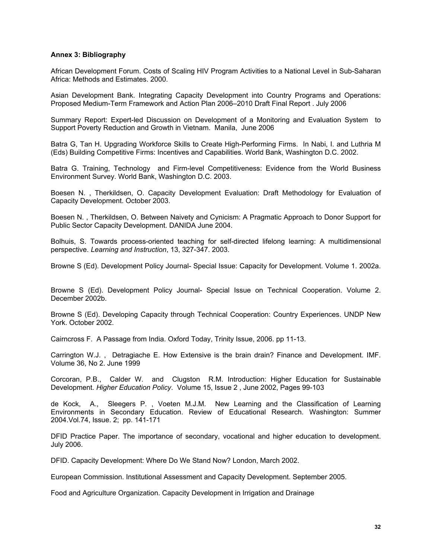#### **Annex 3: Bibliography**

African Development Forum. Costs of Scaling HIV Program Activities to a National Level in Sub-Saharan Africa: Methods and Estimates. 2000.

Asian Development Bank. Integrating Capacity Development into Country Programs and Operations: Proposed Medium-Term Framework and Action Plan 2006–2010 Draft Final Report . July 2006

Summary Report: Expert-led Discussion on Development of a Monitoring and Evaluation System to Support Poverty Reduction and Growth in Vietnam. Manila, June 2006

Batra G, Tan H. Upgrading Workforce Skills to Create High-Performing Firms. In Nabi, I. and Luthria M (Eds) Building Competitive Firms: Incentives and Capabilities. World Bank, Washington D.C. 2002.

Batra G. Training, Technology and Firm-level Competitiveness: Evidence from the World Business Environment Survey. World Bank, Washington D.C. 2003.

Boesen N. , Therkildsen, O. Capacity Development Evaluation: Draft Methodology for Evaluation of Capacity Development. October 2003.

Boesen N. , Therkildsen, O. Between Naivety and Cynicism: A Pragmatic Approach to Donor Support for Public Sector Capacity Development. DANIDA June 2004.

Bolhuis, S. Towards process-oriented teaching for self-directed lifelong learning: A multidimensional perspective. *Learning and Instruction*, 13, 327-347. 2003.

Browne S (Ed). Development Policy Journal- Special Issue: Capacity for Development. Volume 1. 2002a.

Browne S (Ed). Development Policy Journal- Special Issue on Technical Cooperation. Volume 2. December 2002b.

Browne S (Ed). Developing Capacity through Technical Cooperation: Country Experiences. UNDP New York. October 2002.

Cairncross F. A Passage from India. Oxford Today, Trinity Issue, 2006. pp 11-13.

Carrington W.J. , Detragiache E. How Extensive is the brain drain? Finance and Development. IMF. Volume 36, No 2. June 1999

Corcoran, P.B., Calder W. and Clugston R.M. Introduction: Higher Education for Sustainable Development. *Higher Education Policy*. Volume 15, Issue 2 , June 2002, Pages 99-103

de Kock, A., Sleegers P. , Voeten M.J.M. New Learning and the Classification of Learning Environments in Secondary Education. Review of Educational Research. Washington: Summer 2004.Vol.74, Issue. 2; pp. 141-171

DFID Practice Paper. The importance of secondary, vocational and higher education to development. July 2006.

DFID. Capacity Development: Where Do We Stand Now? London, March 2002.

European Commission. Institutional Assessment and Capacity Development. September 2005.

Food and Agriculture Organization. Capacity Development in Irrigation and Drainage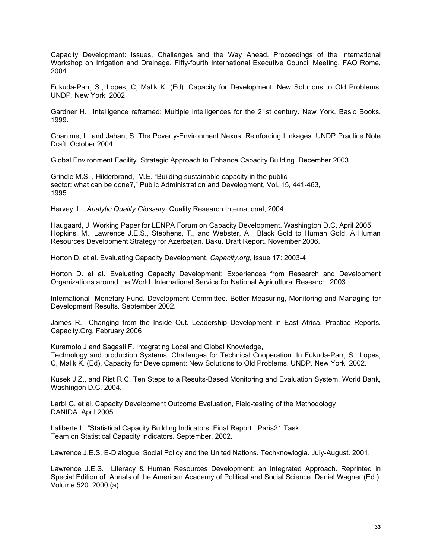Capacity Development: Issues, Challenges and the Way Ahead. Proceedings of the International Workshop on Irrigation and Drainage. Fifty-fourth International Executive Council Meeting. FAO Rome, 2004.

Fukuda-Parr, S., Lopes, C, Malik K. (Ed). Capacity for Development: New Solutions to Old Problems. UNDP. New York 2002.

Gardner H. Intelligence reframed: Multiple intelligences for the 21st century. New York. Basic Books. 1999.

Ghanime, L. and Jahan, S. The Poverty-Environment Nexus: Reinforcing Linkages. UNDP Practice Note Draft. October 2004

Global Environment Facility. Strategic Approach to Enhance Capacity Building. December 2003.

Grindle M.S. , Hilderbrand, M.E. "Building sustainable capacity in the public sector: what can be done?," Public Administration and Development, Vol. 15, 441-463, 1995.

Harvey, L., *Analytic Quality Glossary*, Quality Research International, 2004,

Haugaard, J Working Paper for LENPA Forum on Capacity Development. Washington D.C. April 2005. Hopkins, M., Lawrence J.E.S., Stephens, T., and Webster, A. Black Gold to Human Gold. A Human Resources Development Strategy for Azerbaijan. Baku. Draft Report. November 2006.

Horton D. et al. Evaluating Capacity Development, *Capacity.org,* Issue 17: 2003-4

Horton D. et al. Evaluating Capacity Development: Experiences from Research and Development Organizations around the World. International Service for National Agricultural Research. 2003.

International Monetary Fund. Development Committee. Better Measuring, Monitoring and Managing for Development Results. September 2002.

James R. Changing from the Inside Out. Leadership Development in East Africa. Practice Reports. Capacity.Org. February 2006

Kuramoto J and Sagasti F. Integrating Local and Global Knowledge, Technology and production Systems: Challenges for Technical Cooperation. In Fukuda-Parr, S., Lopes, C, Malik K. (Ed). Capacity for Development: New Solutions to Old Problems. UNDP. New York 2002.

Kusek J.Z., and Rist R.C. Ten Steps to a Results-Based Monitoring and Evaluation System. World Bank, Washingon D.C. 2004.

Larbi G. et al. Capacity Development Outcome Evaluation, Field-testing of the Methodology DANIDA. April 2005.

Laliberte L. "Statistical Capacity Building Indicators. Final Report." Paris21 Task Team on Statistical Capacity Indicators. September, 2002.

Lawrence J.E.S. E-Dialogue, Social Policy and the United Nations. Techknowlogia. July-August. 2001.

Lawrence J.E.S. Literacy & Human Resources Development: an Integrated Approach. Reprinted in Special Edition of Annals of the American Academy of Political and Social Science. Daniel Wagner (Ed.). Volume 520. 2000 (a)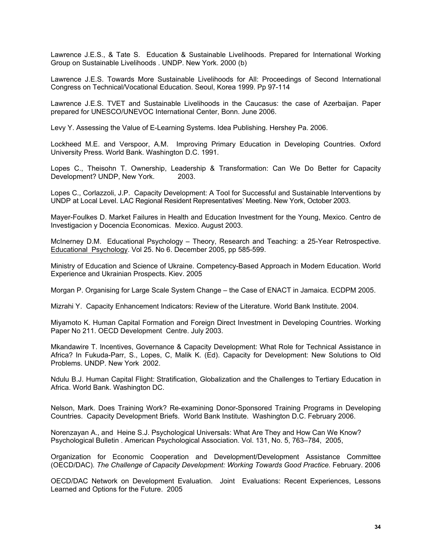Lawrence J.E.S., & Tate S. Education & Sustainable Livelihoods. Prepared for International Working Group on Sustainable Livelihoods . UNDP. New York. 2000 (b)

Lawrence J.E.S. Towards More Sustainable Livelihoods for All: Proceedings of Second International Congress on Technical/Vocational Education. Seoul, Korea 1999. Pp 97-114

Lawrence J.E.S. TVET and Sustainable Livelihoods in the Caucasus: the case of Azerbaijan. Paper prepared for UNESCO/UNEVOC International Center, Bonn. June 2006.

Levy Y. Assessing the Value of E-Learning Systems. Idea Publishing. Hershey Pa. 2006.

Lockheed M.E. and Verspoor, A.M. Improving Primary Education in Developing Countries. Oxford University Press. World Bank. Washington D.C. 1991.

Lopes C., Theisohn T. Ownership, Leadership & Transformation: Can We Do Better for Capacity Development? UNDP, New York. 2003.

Lopes C., Corlazzoli, J.P. Capacity Development: A Tool for Successful and Sustainable Interventions by UNDP at Local Level. LAC Regional Resident Representatives' Meeting. New York, October 2003.

Mayer-Foulkes D. Market Failures in Health and Education Investment for the Young, Mexico. Centro de Investigacion y Docencia Economicas. Mexico. August 2003.

McInerney D.M. Educational Psychology – Theory, Research and Teaching: a 25-Year Retrospective. Educational Psychology. Vol 25. No 6. December 2005, pp 585-599.

Ministry of Education and Science of Ukraine. Competency-Based Approach in Modern Education. World Experience and Ukrainian Prospects. Kiev. 2005

Morgan P. Organising for Large Scale System Change – the Case of ENACT in Jamaica. ECDPM 2005.

Mizrahi Y. Capacity Enhancement Indicators: Review of the Literature. World Bank Institute. 2004.

Miyamoto K. Human Capital Formation and Foreign Direct Investment in Developing Countries. Working Paper No 211. OECD Development Centre. July 2003.

Mkandawire T. Incentives, Governance & Capacity Development: What Role for Technical Assistance in Africa? In Fukuda-Parr, S., Lopes, C, Malik K. (Ed). Capacity for Development: New Solutions to Old Problems. UNDP. New York 2002.

Ndulu B.J. Human Capital Flight: Stratification, Globalization and the Challenges to Tertiary Education in Africa. World Bank. Washington DC.

Nelson, Mark. Does Training Work? Re-examining Donor-Sponsored Training Programs in Developing Countries. Capacity Development Briefs. World Bank Institute. Washington D.C. February 2006.

Norenzayan A., and Heine S.J. Psychological Universals: What Are They and How Can We Know? Psychological Bulletin . American Psychological Association. Vol. 131, No. 5, 763–784, 2005,

Organization for Economic Cooperation and Development/Development Assistance Committee (OECD/DAC)*. The Challenge of Capacity Development: Working Towards Good Practice.* February. 2006

OECD/DAC Network on Development Evaluation. Joint Evaluations: Recent Experiences, Lessons Learned and Options for the Future. 2005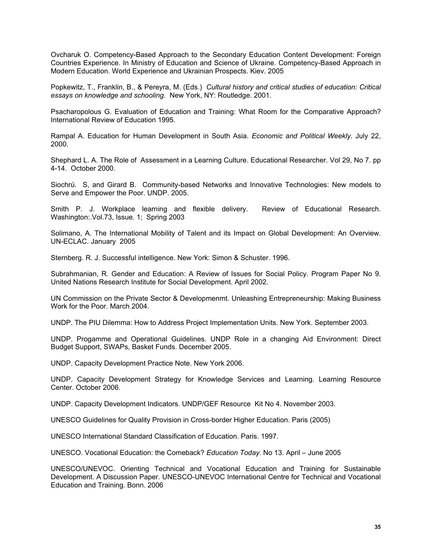Ovcharuk O. Competency-Based Approach to the Secondary Education Content Development: Foreign Countries Experience. In Ministry of Education and Science of Ukraine. Competency-Based Approach in Modern Education. World Experience and Ukrainian Prospects. Kiev. 2005

Popkewitz, T., Franklin, B., & Pereyra, M. (Eds.) *Cultural history and critical studies of education: Critical essays on knowledge and schooling*. New York, NY: Routledge. 2001.

Psacharopolous G. Evaluation of Education and Training: What Room for the Comparative Approach? International Review of Education 1995.

Rampal A. Education for Human Development in South Asia. *Economic and Political Weekly.* July 22, 2000.

Shephard L. A. The Role of Assessment in a Learning Culture. Educational Researcher. Vol 29, No 7. pp 4-14. October 2000.

Siochrú. S, and Girard B. Community-based Networks and Innovative Technologies: New models to Serve and Empower the Poor. UNDP. 2005.

Smith P. J. Workplace learning and flexible delivery. Review of Educational Research. Washington:.Vol.73, Issue. 1; Spring 2003

Solimano, A. The International Mobility of Talent and its Impact on Global Development: An Overview. UN-ECLAC. January 2005

Sternberg. R. J. Successful intelligence. New York: Simon & Schuster. 1996.

Subrahmanian, R. Gender and Education: A Review of Issues for Social Policy. Program Paper No 9. United Nations Research Institute for Social Development. April 2002.

UN Commission on the Private Sector & Developmenmt. Unleashing Entrepreneurship: Making Business Work for the Poor. March 2004.

UNDP. The PIU Dilemma: How to Address Project Implementation Units. New York. September 2003.

UNDP. Progamme and Operational Guidelines. UNDP Role in a changing Aid Environment: Direct Budget Support, SWAPs, Basket Funds. December 2005.

UNDP. Capacity Development Practice Note. New York 2006.

UNDP. Capacity Development Strategy for Knowledge Services and Learning. Learning Resource Center. October 2006.

UNDP. Capacity Development Indicators. UNDP/GEF Resource Kit No 4. November 2003.

UNESCO Guidelines for Quality Provision in Cross-border Higher Education. Paris (2005)

UNESCO International Standard Classification of Education. Paris. 1997.

UNESCO. Vocational Education: the Comeback? *Education Today.* No 13. April – June 2005

UNESCO/UNEVOC. Orienting Technical and Vocational Education and Training for Sustainable Development. A Discussion Paper. UNESCO-UNEVOC International Centre for Technical and Vocational Education and Training. Bonn. 2006